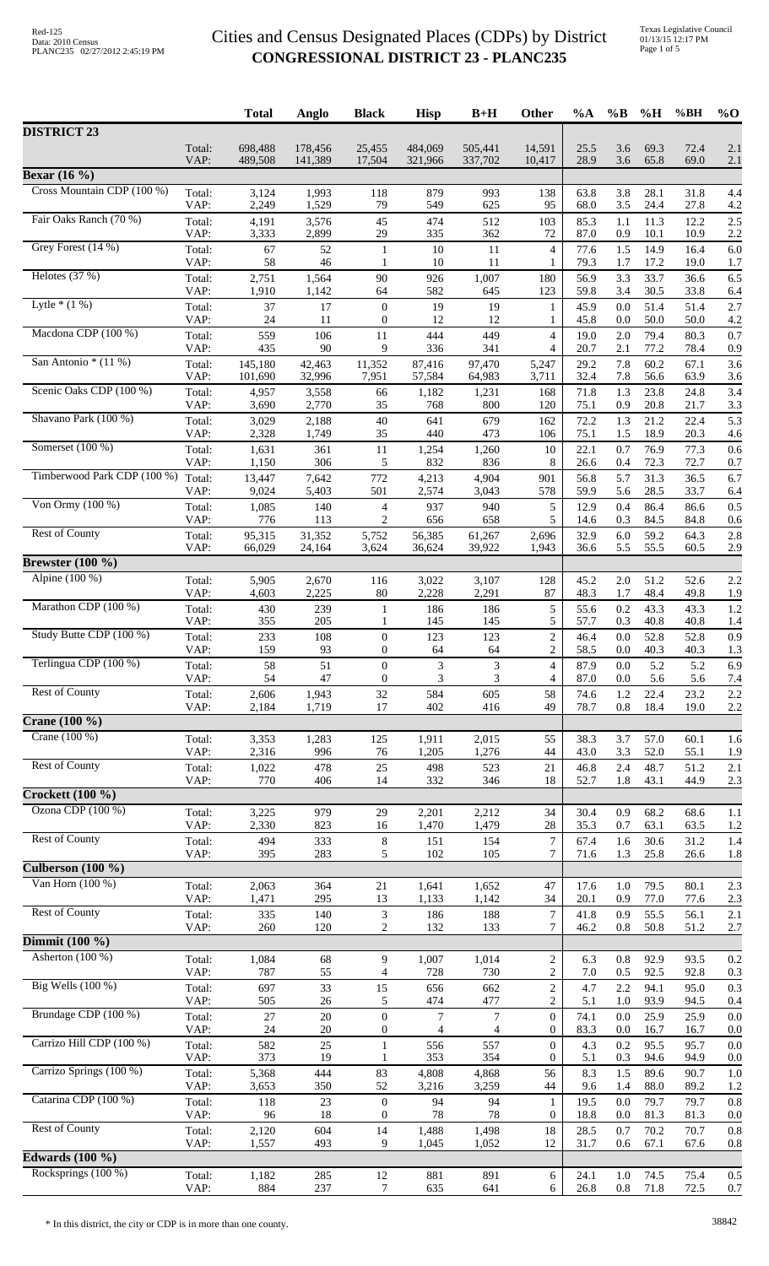|                                       |                | <b>Total</b>       | Anglo              | <b>Black</b>                     | <b>Hisp</b>        | $B+H$              | Other                            | %A           | $\%B$          | %H           | %BH          | $%$ <sup>O</sup> |
|---------------------------------------|----------------|--------------------|--------------------|----------------------------------|--------------------|--------------------|----------------------------------|--------------|----------------|--------------|--------------|------------------|
| <b>DISTRICT 23</b>                    |                |                    |                    |                                  |                    |                    |                                  |              |                |              |              |                  |
|                                       | Total:<br>VAP: | 698,488<br>489,508 | 178,456<br>141,389 | 25,455<br>17,504                 | 484,069<br>321,966 | 505,441<br>337,702 | 14,591<br>10,417                 | 25.5<br>28.9 | 3.6<br>3.6     | 69.3<br>65.8 | 72.4<br>69.0 | 2.1<br>2.1       |
| <b>Bexar</b> (16 $\%$ )               |                |                    |                    |                                  |                    |                    |                                  |              |                |              |              |                  |
| Cross Mountain CDP (100 %)            | Total:         | 3,124              | 1,993              | 118                              | 879                | 993                | 138                              | 63.8         | 3.8            | 28.1         | 31.8         | 4.4              |
| Fair Oaks Ranch (70 %)                | VAP:           | 2,249              | 1,529              | 79                               | 549                | 625                | 95                               | 68.0         | 3.5            | 24.4         | 27.8         | 4.2              |
|                                       | Total:<br>VAP: | 4,191<br>3,333     | 3,576<br>2,899     | 45<br>29                         | 474<br>335         | 512<br>362         | 103<br>72                        | 85.3<br>87.0 | 1.1<br>0.9     | 11.3<br>10.1 | 12.2<br>10.9 | 2.5<br>2.2       |
| Grey Forest (14 %)                    | Total:<br>VAP: | 67<br>58           | $52\,$<br>46       | $\mathbf{1}$<br>1                | 10<br>10           | 11<br>11           | $\overline{4}$<br>1              | 77.6<br>79.3 | 1.5<br>1.7     | 14.9<br>17.2 | 16.4<br>19.0 | 6.0<br>1.7       |
| Helotes $(37%)$                       | Total:<br>VAP: | 2,751<br>1,910     | 1,564<br>1,142     | 90<br>64                         | 926<br>582         | 1,007<br>645       | 180<br>123                       | 56.9<br>59.8 | 3.3<br>3.4     | 33.7<br>30.5 | 36.6<br>33.8 | 6.5<br>6.4       |
| Lytle $*(1%)$                         | Total:         | 37                 | 17                 | $\boldsymbol{0}$                 | 19                 | 19                 | $\mathbf{1}$                     | 45.9         | 0.0            | 51.4         | 51.4         | 2.7              |
| Macdona CDP (100 %)                   | VAP:<br>Total: | 24<br>559          | 11<br>106          | $\boldsymbol{0}$<br>11           | 12<br>444          | 12<br>449          | 1<br>$\overline{4}$              | 45.8<br>19.0 | 0.0<br>2.0     | 50.0<br>79.4 | 50.0<br>80.3 | 4.2<br>0.7       |
| San Antonio $*(11\%)$                 | VAP:           | 435                | 90                 | 9                                | 336                | 341                | $\overline{4}$                   | 20.7         | 2.1            | 77.2         | 78.4         | 0.9              |
|                                       | Total:<br>VAP: | 145,180<br>101,690 | 42,463<br>32,996   | 11,352<br>7,951                  | 87,416<br>57,584   | 97,470<br>64,983   | 5,247<br>3,711                   | 29.2<br>32.4 | 7.8<br>7.8     | 60.2<br>56.6 | 67.1<br>63.9 | 3.6<br>3.6       |
| Scenic Oaks CDP (100 %)               | Total:<br>VAP: | 4,957<br>3,690     | 3,558<br>2,770     | 66<br>35                         | 1,182<br>768       | 1,231<br>800       | 168<br>120                       | 71.8<br>75.1 | 1.3<br>0.9     | 23.8<br>20.8 | 24.8<br>21.7 | 3.4<br>3.3       |
| Shavano Park (100 %)                  | Total:         | 3,029              | 2,188              | 40                               | 641                | 679                | 162                              | 72.2         | 1.3            | 21.2         | 22.4         | 5.3              |
| Somerset $(100\%)$                    | VAP:           | 2,328              | 1,749              | 35                               | 440                | 473                | 106                              | 75.1         | 1.5            | 18.9         | 20.3         | 4.6              |
|                                       | Total:<br>VAP: | 1,631<br>1,150     | 361<br>306         | 11<br>5                          | 1,254<br>832       | 1,260<br>836       | 10<br>8                          | 22.1<br>26.6 | 0.7<br>0.4     | 76.9<br>72.3 | 77.3<br>72.7 | 0.6<br>0.7       |
| Timberwood Park CDP (100 %)           | Total:         | 13,447             | 7,642              | 772                              | 4,213              | 4,904              | 901                              | 56.8         | 5.7            | 31.3         | 36.5         | 6.7              |
| Von Ormy $(100\%)$                    | VAP:<br>Total: | 9,024<br>1,085     | 5,403<br>140       | 501<br>4                         | 2,574<br>937       | 3,043<br>940       | 578<br>5                         | 59.9<br>12.9 | 5.6<br>0.4     | 28.5<br>86.4 | 33.7<br>86.6 | 6.4<br>0.5       |
|                                       | VAP:           | 776                | 113                | 2                                | 656                | 658                | 5                                | 14.6         | 0.3            | 84.5         | 84.8         | 0.6              |
| <b>Rest of County</b>                 | Total:<br>VAP: | 95,315<br>66,029   | 31,352<br>24,164   | 5,752<br>3,624                   | 56,385<br>36,624   | 61,267<br>39,922   | 2,696<br>1,943                   | 32.9<br>36.6 | 6.0<br>5.5     | 59.2<br>55.5 | 64.3<br>60.5 | 2.8<br>2.9       |
| <b>Brewster</b> (100 %)               |                |                    |                    |                                  |                    |                    |                                  |              |                |              |              |                  |
| Alpine (100 %)                        | Total:<br>VAP: | 5,905<br>4,603     | 2,670<br>2,225     | 116<br>80                        | 3,022<br>2,228     | 3,107<br>2,291     | 128<br>87                        | 45.2<br>48.3 | 2.0<br>1.7     | 51.2<br>48.4 | 52.6<br>49.8 | 2.2<br>1.9       |
| Marathon CDP (100 %)                  | Total:         | 430                | 239                | 1                                | 186                | 186                | 5                                | 55.6         | 0.2            | 43.3         | 43.3         | 1.2              |
|                                       | VAP:           | 355                | 205                | 1                                | 145                | 145                | 5                                | 57.7         | 0.3            | 40.8         | 40.8         | 1.4              |
| Study Butte CDP (100 %)               | Total:<br>VAP: | 233<br>159         | 108<br>93          | $\mathbf{0}$<br>$\boldsymbol{0}$ | 123<br>64          | 123<br>64          | $\mathbf{2}$<br>$\overline{c}$   | 46.4<br>58.5 | 0.0<br>0.0     | 52.8<br>40.3 | 52.8<br>40.3 | 0.9<br>1.3       |
| Terlingua CDP (100 %)                 | Total:         | 58                 | 51                 | $\Omega$                         | 3                  | $\mathfrak{Z}$     | $\overline{4}$                   | 87.9         | 0.0            | 5.2          | 5.2          | 6.9              |
| <b>Rest of County</b>                 | VAP:<br>Total: | 54<br>2,606        | 47<br>1,943        | $\boldsymbol{0}$<br>32           | 3<br>584           | 3<br>605           | 4<br>58                          | 87.0<br>74.6 | 0.0<br>1.2     | 5.6<br>22.4  | 5.6<br>23.2  | 7.4<br>2.2       |
|                                       | VAP:           | 2,184              | 1,719              | 17                               | 402                | 416                | 49                               | 78.7         | $0.8\,$        | 18.4         | 19.0         | 2.2              |
| <b>Crane</b> (100 %)<br>Crane (100 %) |                |                    |                    |                                  |                    |                    |                                  |              |                |              |              |                  |
|                                       | Total:<br>VAP: | 3,353<br>2,316     | 1,283<br>996       | 125<br>76                        | 1,911<br>1,205     | 2,015<br>1,276     | 55<br>44                         | 38.3<br>43.0 | 3.7<br>3.3     | 57.0<br>52.0 | 60.1<br>55.1 | 1.6<br>1.9       |
| <b>Rest of County</b>                 | Total:         | 1,022              | 478                | 25                               | 498                | 523                | 21                               | 46.8         | 2.4            | 48.7         | 51.2         | 2.1              |
| <b>Crockett</b> (100 %)               | VAP:           | 770                | 406                | 14                               | 332                | 346                | 18                               | 52.7         | 1.8            | 43.1         | 44.9         | 2.3              |
| Ozona CDP (100 %)                     | Total:         | 3,225              | 979                | 29                               | 2,201              | 2,212              | 34                               | 30.4         | 0.9            | 68.2         | 68.6         | 1.1              |
| <b>Rest of County</b>                 | VAP:           | 2,330              | 823                | 16                               | 1,470              | 1,479              | 28                               | 35.3         | 0.7            | 63.1         | 63.5         | 1.2              |
|                                       | Total:<br>VAP: | 494<br>395         | 333<br>283         | $\,8\,$<br>5                     | 151<br>102         | 154<br>105         | $\tau$<br>7                      | 67.4<br>71.6 | 1.6<br>1.3     | 30.6<br>25.8 | 31.2<br>26.6 | 1.4<br>1.8       |
| Culberson $(100 \%)$                  |                |                    |                    |                                  |                    |                    |                                  |              |                |              |              |                  |
| Van Horn $(100\%)$                    | Total:<br>VAP: | 2,063<br>1,471     | 364<br>295         | $21\,$<br>13                     | 1,641<br>1,133     | 1,652<br>1,142     | 47<br>34                         | 17.6<br>20.1 | $1.0\,$<br>0.9 | 79.5<br>77.0 | 80.1<br>77.6 | 2.3<br>2.3       |
| <b>Rest of County</b>                 | Total:         | 335                | 140                | 3                                | 186                | 188                | 7                                | 41.8         | 0.9            | 55.5         | 56.1         | 2.1              |
| Dimmit $(100\%$                       | VAP:           | 260                | 120                | 2                                | 132                | 133                | 7                                | 46.2         | 0.8            | 50.8         | 51.2         | 2.7              |
| Asherton $(100\%)$                    | Total:         | 1,084              | 68                 | 9                                | 1,007              | 1,014              | $\overline{c}$                   | 6.3          | 0.8            | 92.9         | 93.5         | 0.2              |
|                                       | VAP:           | 787                | 55                 | $\overline{4}$                   | 728                | 730                | $\overline{2}$                   | 7.0          | 0.5            | 92.5         | 92.8         | 0.3              |
| Big Wells (100 %)                     | Total:<br>VAP: | 697<br>505         | 33<br>$26\,$       | 15<br>5                          | 656<br>474         | 662<br>477         | $\overline{c}$<br>$\overline{c}$ | 4.7<br>5.1   | 2.2<br>1.0     | 94.1<br>93.9 | 95.0<br>94.5 | 0.3<br>0.4       |
| Brundage CDP (100 %)                  | Total:         | 27                 | $20\,$             | $\boldsymbol{0}$                 | $\tau$             | $\tau$             | $\overline{0}$                   | 74.1         | 0.0            | 25.9         | 25.9         | 0.0              |
| Carrizo Hill CDP (100 %)              | VAP:           | 24                 | $20\,$<br>25       | $\boldsymbol{0}$                 | 4                  | 4                  | $\overline{0}$<br>$\overline{0}$ | 83.3         | 0.0            | 16.7         | 16.7         | 0.0              |
|                                       | Total:<br>VAP: | 582<br>373         | 19                 | $\mathbf{1}$<br>1                | 556<br>353         | 557<br>354         | $\mathbf{0}$                     | 4.3<br>5.1   | 0.2<br>0.3     | 95.5<br>94.6 | 95.7<br>94.9 | 0.0<br>0.0       |
| Carrizo Springs (100 %)               | Total:<br>VAP: | 5,368<br>3,653     | 444<br>350         | 83<br>52                         | 4,808<br>3,216     | 4,868<br>3,259     | 56<br>44                         | 8.3<br>9.6   | 1.5<br>1.4     | 89.6<br>88.0 | 90.7<br>89.2 | 1.0<br>1.2       |
| Catarina CDP (100 %)                  | Total:         | 118                | 23                 | $\mathbf{0}$                     | 94                 | 94                 | 1                                | 19.5         | 0.0            | 79.7         | 79.7         | 0.8              |
| <b>Rest of County</b>                 | VAP:           | 96                 | 18                 | $\boldsymbol{0}$                 | 78                 | 78                 | $\boldsymbol{0}$                 | 18.8         | 0.0            | 81.3         | 81.3         | 0.0              |
|                                       | Total:<br>VAP: | 2,120<br>1,557     | 604<br>493         | 14<br>9                          | 1,488<br>1,045     | 1,498<br>1,052     | $18\,$<br>12                     | 28.5<br>31.7 | 0.7<br>0.6     | 70.2<br>67.1 | 70.7<br>67.6 | 0.8<br>0.8       |
| Edwards $(100\%$                      |                |                    |                    |                                  |                    |                    |                                  |              |                |              |              |                  |
| Rocksprings (100 %)                   | Total:<br>VAP: | 1,182<br>884       | 285<br>237         | 12<br>7                          | 881<br>635         | 891<br>641         | 6<br>6                           | 24.1<br>26.8 | 1.0<br>0.8     | 74.5<br>71.8 | 75.4<br>72.5 | 0.5<br>0.7       |
|                                       |                |                    |                    |                                  |                    |                    |                                  |              |                |              |              |                  |

\* In this district, the city or CDP is in more than one county. 38842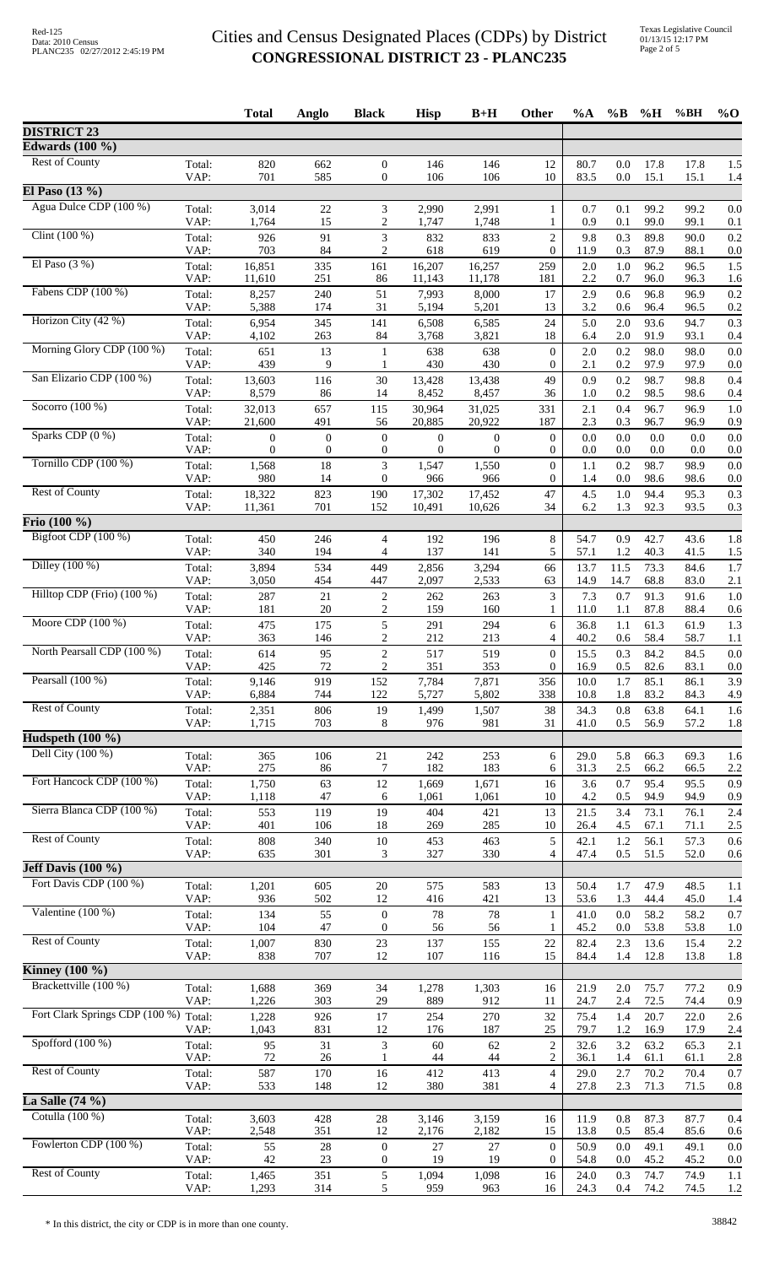|                                            |                | <b>Total</b>     | Anglo              | <b>Black</b>                       | <b>Hisp</b>             | $B+H$                   | Other                                | %A           | $\%B$          | %H           | %BH          | $%$ <sup>O</sup> |
|--------------------------------------------|----------------|------------------|--------------------|------------------------------------|-------------------------|-------------------------|--------------------------------------|--------------|----------------|--------------|--------------|------------------|
| <b>DISTRICT 23</b>                         |                |                  |                    |                                    |                         |                         |                                      |              |                |              |              |                  |
| Edwards $(100 \%)$                         |                |                  |                    |                                    |                         |                         |                                      |              |                |              |              |                  |
| <b>Rest of County</b>                      | Total:<br>VAP: | 820<br>701       | 662<br>585         | $\mathbf{0}$<br>$\boldsymbol{0}$   | 146<br>106              | 146<br>106              | 12<br>10                             | 80.7<br>83.5 | 0.0<br>0.0     | 17.8<br>15.1 | 17.8<br>15.1 | 1.5<br>1.4       |
| El Paso $(13\%)$<br>Agua Dulce CDP (100 %) |                |                  |                    |                                    |                         |                         |                                      |              |                |              |              |                  |
|                                            | Total:<br>VAP: | 3,014<br>1,764   | 22<br>15           | 3<br>$\overline{2}$                | 2,990<br>1,747          | 2,991<br>1,748          | $\mathbf{1}$<br>1                    | 0.7<br>0.9   | 0.1<br>0.1     | 99.2<br>99.0 | 99.2<br>99.1 | 0.0<br>0.1       |
| Clint $(100\%)$                            | Total:         | 926              | 91                 | 3                                  | 832                     | 833                     | $\overline{c}$                       | 9.8          | 0.3            | 89.8         | 90.0         | 0.2              |
|                                            | VAP:           | 703              | 84                 | 2                                  | 618                     | 619                     | $\overline{0}$                       | 11.9         | 0.3            | 87.9         | 88.1         | 0.0              |
| El Paso $(3%)$                             | Total:<br>VAP: | 16,851<br>11,610 | 335<br>251         | 161<br>86                          | 16,207<br>11,143        | 16,257<br>11,178        | 259<br>181                           | 2.0<br>2.2   | 1.0<br>0.7     | 96.2<br>96.0 | 96.5<br>96.3 | 1.5<br>1.6       |
| Fabens CDP (100 %)                         | Total:         | 8,257            | 240                | 51                                 | 7,993                   | 8,000                   | 17                                   | 2.9          | 0.6            | 96.8         | 96.9         | 0.2              |
|                                            | VAP:           | 5,388            | 174                | 31                                 | 5,194                   | 5,201                   | 13                                   | 3.2          | 0.6            | 96.4         | 96.5         | 0.2              |
| Horizon City (42 %)                        | Total:<br>VAP: | 6,954<br>4,102   | 345<br>263         | 141<br>84                          | 6,508<br>3,768          | 6,585<br>3,821          | 24<br>18                             | 5.0<br>6.4   | 2.0<br>2.0     | 93.6<br>91.9 | 94.7<br>93.1 | 0.3<br>0.4       |
| Morning Glory CDP (100 %)                  | Total:         | 651              | 13                 | $\mathbf{1}$                       | 638                     | 638                     | $\boldsymbol{0}$                     | 2.0          | 0.2            | 98.0         | 98.0         | 0.0              |
|                                            | VAP:           | 439              | 9                  | -1                                 | 430                     | 430                     | $\boldsymbol{0}$                     | 2.1          | 0.2            | 97.9         | 97.9         | 0.0              |
| San Elizario CDP (100 %)                   | Total:         | 13,603<br>8,579  | 116                | 30<br>14                           | 13,428                  | 13,438                  | 49<br>36                             | 0.9<br>1.0   | 0.2<br>0.2     | 98.7         | 98.8         | 0.4              |
| Socorro $(100\%)$                          | VAP:<br>Total: | 32,013           | 86<br>657          | 115                                | 8,452<br>30,964         | 8,457<br>31,025         | 331                                  | 2.1          | 0.4            | 98.5<br>96.7 | 98.6<br>96.9 | 0.4<br>1.0       |
|                                            | VAP:           | 21,600           | 491                | 56                                 | 20,885                  | 20,922                  | 187                                  | 2.3          | 0.3            | 96.7         | 96.9         | 0.9              |
| Sparks CDP (0 %)                           | Total:         | $\boldsymbol{0}$ | $\boldsymbol{0}$   | $\mathbf{0}$                       | $\boldsymbol{0}$        | 0                       | $\boldsymbol{0}$                     | 0.0          | 0.0            | 0.0          | 0.0          | 0.0              |
| Tornillo CDP (100 %)                       | VAP:<br>Total: | 0<br>1,568       | $\mathbf{0}$<br>18 | $\boldsymbol{0}$<br>$\mathfrak{Z}$ | $\overline{0}$<br>1,547 | $\overline{0}$<br>1,550 | $\overline{0}$<br>$\boldsymbol{0}$   | 0.0<br>1.1   | 0.0<br>0.2     | 0.0<br>98.7  | 0.0<br>98.9  | 0.0<br>0.0       |
|                                            | VAP:           | 980              | 14                 | $\boldsymbol{0}$                   | 966                     | 966                     | $\overline{0}$                       | 1.4          | 0.0            | 98.6         | 98.6         | 0.0              |
| <b>Rest of County</b>                      | Total:         | 18,322           | 823                | 190                                | 17,302                  | 17,452                  | 47                                   | 4.5          | 1.0            | 94.4         | 95.3         | 0.3              |
| $Frio(100\%)$                              | VAP:           | 11,361           | 701                | 152                                | 10,491                  | 10,626                  | 34                                   | 6.2          | 1.3            | 92.3         | 93.5         | 0.3              |
| Bigfoot CDP (100 %)                        | Total:         | 450              | 246                | $\overline{4}$                     | 192                     | 196                     | $\,8\,$                              | 54.7         | 0.9            | 42.7         | 43.6         | 1.8              |
|                                            | VAP:           | 340              | 194                | $\overline{4}$                     | 137                     | 141                     | 5                                    | 57.1         | 1.2            | 40.3         | 41.5         | 1.5              |
| Dilley (100 %)                             | Total:         | 3,894            | 534                | 449                                | 2,856                   | 3,294                   | 66                                   | 13.7         | 11.5           | 73.3         | 84.6         | 1.7              |
| Hilltop CDP (Frio) (100 %)                 | VAP:           | 3,050            | 454                | 447                                | 2,097                   | 2,533                   | 63                                   | 14.9         | 14.7           | 68.8         | 83.0         | 2.1              |
|                                            | Total:<br>VAP: | 287<br>181       | 21<br>20           | $\overline{c}$<br>2                | 262<br>159              | 263<br>160              | 3<br>1                               | 7.3<br>11.0  | 0.7<br>1.1     | 91.3<br>87.8 | 91.6<br>88.4 | 1.0<br>0.6       |
| Moore CDP $(100\%)$                        | Total:         | 475              | 175                | 5                                  | 291                     | 294                     | 6                                    | 36.8         | 1.1            | 61.3         | 61.9         | 1.3              |
|                                            | VAP:           | 363              | 146                | 2                                  | 212                     | 213                     | 4                                    | 40.2         | 0.6            | 58.4         | 58.7         | 1.1              |
| North Pearsall CDP (100 %)                 | Total:<br>VAP: | 614<br>425       | 95<br>$72\,$       | $\overline{2}$<br>$\sqrt{2}$       | 517<br>351              | 519<br>353              | $\boldsymbol{0}$<br>$\boldsymbol{0}$ | 15.5<br>16.9 | 0.3<br>$0.5\,$ | 84.2<br>82.6 | 84.5<br>83.1 | 0.0<br>0.0       |
| Pearsall $(100\%)$                         | Total:         | 9,146            | 919                | 152                                | 7,784                   | 7,871                   | 356                                  | 10.0         | 1.7            | 85.1         | 86.1         | 3.9              |
|                                            | VAP:           | 6,884            | 744                | 122                                | 5,727                   | 5,802                   | 338                                  | 10.8         | 1.8            | 83.2         | 84.3         | 4.9              |
| <b>Rest of County</b>                      | Total:<br>VAP: | 2,351<br>1,715   | 806<br>703         | 19<br>8                            | 1,499<br>976            | 1,507<br>981            | 38<br>31                             | 34.3<br>41.0 | 0.8<br>0.5     | 63.8<br>56.9 | 64.1<br>57.2 | 1.6<br>1.8       |
| Hudspeth $(100 \%)$                        |                |                  |                    |                                    |                         |                         |                                      |              |                |              |              |                  |
| Dell City $(100\%)$                        | Total:         | 365              | 106                | 21                                 | 242                     | 253                     | 6                                    | 29.0         | 5.8            | 66.3         | 69.3         | 1.6              |
|                                            | VAP:           | 275              | 86                 | 7                                  | 182                     | 183                     | 6                                    | 31.3         | 2.5            | 66.2         | 66.5         | 2.2              |
| Fort Hancock CDP (100 %)                   | Total:<br>VAP: | 1,750<br>1,118   | 63<br>47           | 12<br>6                            | 1,669<br>1,061          | 1,671<br>1,061          | 16<br>10                             | 3.6<br>4.2   | 0.7<br>0.5     | 95.4<br>94.9 | 95.5<br>94.9 | 0.9<br>0.9       |
| Sierra Blanca CDP (100 %)                  | Total:         | 553              | 119                | 19                                 | 404                     | 421                     | 13                                   | 21.5         | 3.4            | 73.1         | 76.1         | 2.4              |
|                                            | VAP:           | 401              | 106                | 18                                 | 269                     | 285                     | 10                                   | 26.4         | 4.5            | 67.1         | 71.1         | 2.5              |
| <b>Rest of County</b>                      | Total:<br>VAP: | 808<br>635       | 340<br>301         | $10\,$<br>3                        | 453<br>327              | 463<br>330              | 5<br>4                               | 42.1<br>47.4 | 1.2<br>0.5     | 56.1<br>51.5 | 57.3<br>52.0 | 0.6<br>0.6       |
| Jeff Davis $(100 \%)$                      |                |                  |                    |                                    |                         |                         |                                      |              |                |              |              |                  |
| Fort Davis CDP (100 %)                     | Total:         | 1,201            | 605                | $20\,$                             | 575                     | 583                     | 13                                   | 50.4         | 1.7            | 47.9         | 48.5         | 1.1              |
|                                            | VAP:           | 936              | 502                | 12                                 | 416                     | 421                     | 13                                   | 53.6         | 1.3            | 44.4         | 45.0         | 1.4              |
| Valentine $(100\%)$                        | Total:<br>VAP: | 134<br>104       | 55<br>47           | $\boldsymbol{0}$<br>$\theta$       | 78<br>56                | 78<br>56                | $\mathbf{1}$<br>1                    | 41.0<br>45.2 | 0.0<br>0.0     | 58.2<br>53.8 | 58.2<br>53.8 | 0.7<br>1.0       |
| <b>Rest of County</b>                      | Total:         | 1,007            | 830                | $23\,$                             | 137                     | 155                     | 22                                   | 82.4         | 2.3            | 13.6         | 15.4         | 2.2              |
|                                            | VAP:           | 838              | 707                | 12                                 | 107                     | 116                     | 15                                   | 84.4         | 1.4            | 12.8         | 13.8         | 1.8              |
| Kinney $(100\%)$                           |                |                  |                    |                                    |                         |                         |                                      |              |                |              |              |                  |
| Brackettville (100 %)                      | Total:<br>VAP: | 1,688<br>1,226   | 369<br>303         | 34<br>29                           | 1,278<br>889            | 1,303<br>912            | 16<br>11                             | 21.9<br>24.7 | 2.0<br>2.4     | 75.7<br>72.5 | 77.2<br>74.4 | 0.9<br>0.9       |
| Fort Clark Springs CDP (100 %) Total:      |                | 1,228            | 926                | 17                                 | 254                     | 270                     | 32                                   | 75.4         | 1.4            | 20.7         | 22.0         | 2.6              |
|                                            | VAP:           | 1,043            | 831                | 12                                 | 176                     | 187                     | 25                                   | 79.7         | 1.2            | 16.9         | 17.9         | 2.4              |
| Spofford (100 %)                           | Total:<br>VAP: | 95<br>72         | 31                 | 3<br>1                             | 60<br>44                | 62<br>$44$              | $\boldsymbol{2}$<br>$\overline{c}$   | 32.6         | 3.2            | 63.2         | 65.3         | 2.1              |
| <b>Rest of County</b>                      | Total:         | 587              | 26<br>170          | 16                                 | 412                     | 413                     | $\overline{4}$                       | 36.1<br>29.0 | 1.4<br>2.7     | 61.1<br>70.2 | 61.1<br>70.4 | 2.8<br>0.7       |
|                                            | VAP:           | 533              | 148                | 12                                 | 380                     | 381                     | $\overline{4}$                       | 27.8         | 2.3            | 71.3         | 71.5         | 0.8              |
| La Salle $(74\%)$                          |                |                  |                    |                                    |                         |                         |                                      |              |                |              |              |                  |
| Cotulla (100 %)                            | Total:<br>VAP: | 3,603<br>2,548   | 428<br>351         | 28<br>12                           | 3,146<br>2,176          | 3,159<br>2,182          | 16<br>15                             | 11.9<br>13.8 | $0.8\,$<br>0.5 | 87.3<br>85.4 | 87.7<br>85.6 | 0.4<br>0.6       |
| Fowlerton CDP (100 %)                      | Total:         | 55               | $28\,$             | $\mathbf{0}$                       | 27                      | 27                      | $\boldsymbol{0}$                     | 50.9         | 0.0            | 49.1         | 49.1         | 0.0              |
|                                            | VAP:           | 42               | $23\,$             | $\overline{0}$                     | 19                      | 19                      | 0                                    | 54.8         | 0.0            | 45.2         | 45.2         | 0.0              |
| <b>Rest of County</b>                      | Total:         | 1,465            | 351                | 5                                  | 1,094                   | 1,098                   | 16                                   | 24.0         | 0.3            | 74.7         | 74.9         | 1.1              |
|                                            | VAP:           | 1,293            | 314                | 5                                  | 959                     | 963                     | 16                                   | 24.3         | 0.4            | 74.2         | 74.5         | 1.2              |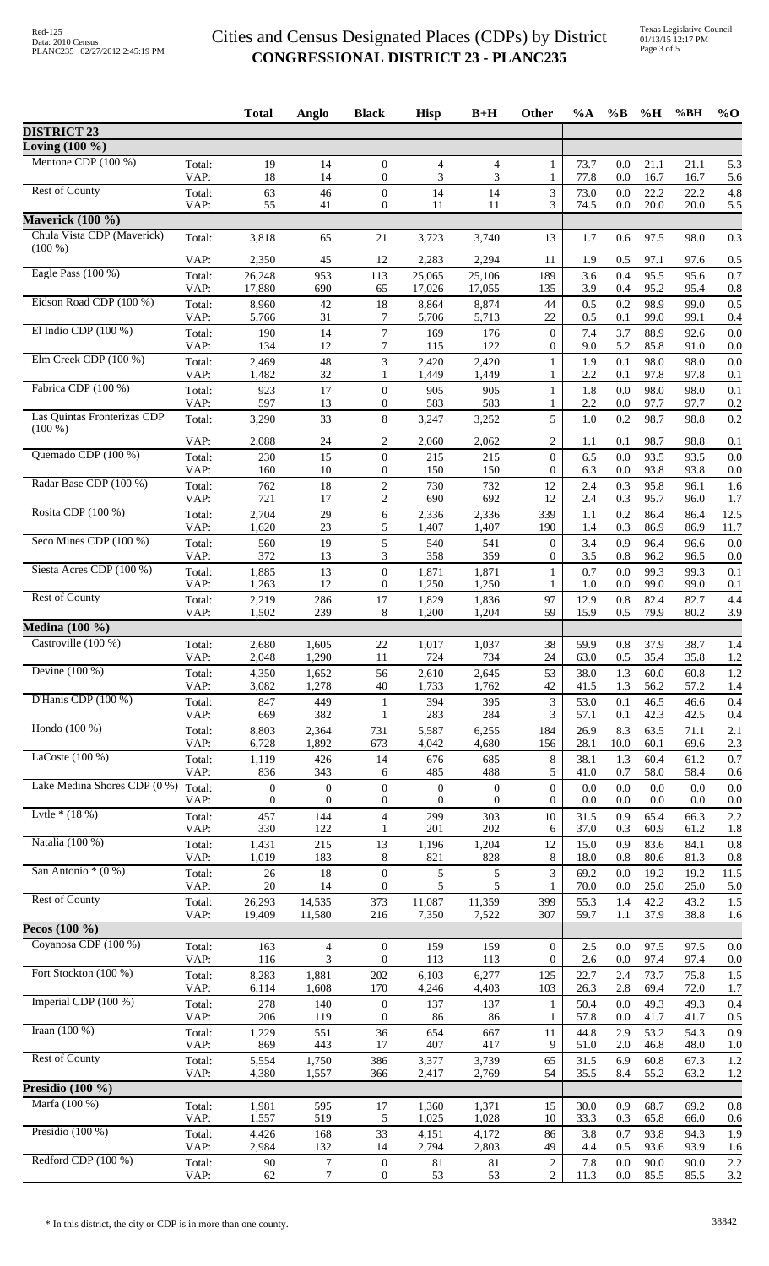Texas Legislative Council 01/13/15 12:17 PM Page 3 of 5

| Loving $(100 \%)$<br>Mentone CDP $(100\%)$<br>19<br>73.7<br>21.1<br>Total:<br>14<br>$\boldsymbol{0}$<br>4<br>$\overline{4}$<br>0.0<br>21.1<br>5.3<br>1<br>3<br>VAP:<br>18<br>14<br>$\boldsymbol{0}$<br>3<br>$\mathbf{1}$<br>77.8<br>0.0<br>16.7<br>16.7<br><b>Rest of County</b><br>63<br>46<br>$\boldsymbol{0}$<br>14<br>3<br>4.8<br>Total:<br>14<br>73.0<br>22.2<br>22.2<br>0.0<br>VAP:<br>55<br>3<br>74.5<br>20.0<br>20.0<br>41<br>$\boldsymbol{0}$<br>11<br>11<br>0.0<br>5.5<br><b>Maverick (100 %)</b><br>Chula Vista CDP (Maverick)<br>3,818<br>65<br>3,723<br>13<br>1.7<br>97.5<br>0.3<br>Total:<br>21<br>3,740<br>0.6<br>98.0<br>$(100\%)$<br>VAP:<br>45<br>2,283<br>2,294<br>1.9<br>2,350<br>12<br>11<br>0.5<br>97.1<br>97.6<br>0.5<br>Eagle Pass $(100\%)$<br>26,248<br>953<br>25,106<br>0.4<br>95.5<br>Total:<br>113<br>25,065<br>189<br>3.6<br>95.6<br>0.7<br>VAP:<br>17,880<br>690<br>65<br>17,026<br>17,055<br>95.2<br>135<br>3.9<br>0.4<br>95.4<br>0.8<br>Eidson Road CDP (100 %)<br>98.9<br>0.2<br>Total:<br>42<br>18<br>8,874<br>44<br>0.5<br>99.0<br>0.5<br>8,960<br>8,864<br>VAP:<br>31<br>5,713<br>0.1<br>5,766<br>7<br>5,706<br>22<br>0.5<br>99.0<br>99.1<br>0.4<br>El Indio CDP $(100\%)$<br>$\boldsymbol{7}$<br>Total:<br>190<br>14<br>176<br>7.4<br>3.7<br>88.9<br>169<br>$\mathbf{0}$<br>92.6<br>7<br>5.2<br>85.8<br>VAP:<br>134<br>12<br>115<br>122<br>$\boldsymbol{0}$<br>9.0<br>91.0<br>Elm Creek CDP (100 %)<br>3<br>$48\,$<br>1.9<br>0.1<br>98.0<br>98.0<br>0.0<br>Total:<br>2,469<br>2,420<br>2,420<br>1<br>VAP:<br>1,482<br>32<br>2.2<br>97.8<br>97.8<br>1,449<br>1,449<br>0.1<br>0.1<br>$\mathbf{1}$<br>1<br>Fabrica CDP (100 %)<br>17<br>$\boldsymbol{0}$<br>1.8<br>0.0<br>98.0<br>98.0<br>0.1<br>Total:<br>923<br>905<br>905<br>1<br>VAP:<br>597<br>13<br>583<br>583<br>2.2<br>$\boldsymbol{0}$<br>0.0<br>97.7<br>97.7<br>0.2<br>1<br>Las Quintas Fronterizas CDP<br>5<br>33<br>$\,8\,$<br>98.7<br>Total:<br>3,290<br>3,247<br>3,252<br>1.0<br>0.2<br>98.8<br>$(100\%)$<br>VAP:<br>$\overline{c}$<br>2,088<br>24<br>2<br>2,060<br>2,062<br>0.1<br>98.7<br>98.8<br>1.1<br>0.1<br>Quemado CDP (100 %)<br>Total:<br>230<br>15<br>$\boldsymbol{0}$<br>93.5<br>93.5<br>$\boldsymbol{0}$<br>215<br>215<br>6.5<br>0.0<br>10<br>VAP:<br>160<br>$\boldsymbol{0}$<br>150<br>150<br>$\overline{0}$<br>6.3<br>0.0<br>93.8<br>93.8<br>Radar Base CDP (100 %)<br>18<br>$\boldsymbol{2}$<br>95.8<br>Total:<br>762<br>730<br>732<br>12<br>2.4<br>0.3<br>96.1<br>$\overline{c}$<br>VAP:<br>721<br>17<br>690<br>692<br>0.3<br>95.7<br>12<br>2.4<br>96.0<br>1.7<br>Rosita CDP (100 %)<br>2,704<br>29<br>2,336<br>0.2<br>86.4<br>Total:<br>6<br>2,336<br>339<br>1.1<br>86.4<br>12.5<br>VAP:<br>1,620<br>23<br>5<br>1,407<br>190<br>0.3<br>86.9<br>86.9<br>11.7<br>1,407<br>1.4<br>Seco Mines CDP (100 %)<br>19<br>5<br>96.4<br>Total:<br>560<br>540<br>541<br>$\boldsymbol{0}$<br>3.4<br>0.9<br>96.6<br>VAP:<br>372<br>13<br>3<br>358<br>0.8<br>96.2<br>359<br>0<br>3.5<br>96.5<br>Siesta Acres CDP (100 %)<br>Total:<br>13<br>$\boldsymbol{0}$<br>1,871<br>1,871<br>0.7<br>0.0<br>99.3<br>99.3<br>1,885<br>0.1<br>1<br>12<br>VAP:<br>1,263<br>$\boldsymbol{0}$<br>1,250<br>1,250<br>99.0<br>1.0<br>0.0<br>99.0<br>0.1<br>1<br><b>Rest of County</b><br>82.4<br>Total:<br>286<br>17<br>1,829<br>1,836<br>97<br>12.9<br>0.8<br>82.7<br>2,219<br>1,502<br>239<br>8<br>59<br>79.9<br>VAP:<br>1,200<br>1,204<br>15.9<br>0.5<br>80.2<br>3.9<br><b>Medina</b> (100 %)<br>Castroville $(100\%)$<br>22<br>38<br>0.8<br>37.9<br>Total:<br>2,680<br>1,605<br>1,017<br>1,037<br>59.9<br>38.7<br>2,048<br>1,290<br>35.4<br>VAP:<br>11<br>724<br>734<br>24<br>63.0<br>0.5<br>35.8<br>Devine $(100\%)$<br>1.3<br>Total:<br>4,350<br>1,652<br>56<br>2,610<br>2,645<br>53<br>38.0<br>60.0<br>60.8<br>VAP:<br>3,082<br>1,278<br>42<br>40<br>1,733<br>1,762<br>41.5<br>1.3<br>56.2<br>57.2<br>D'Hanis CDP $(100\%)$<br>847<br>449<br>3<br>0.1<br>46.5<br>Total:<br>$\mathbf{1}$<br>394<br>395<br>53.0<br>46.6<br>382<br>3<br>VAP:<br>669<br>283<br>284<br>42.3<br>42.5<br>1<br>57.1<br>0.1<br>Hondo $(100\%)$<br>2,364<br>8.3<br>63.5<br>Total:<br>8,803<br>731<br>5,587<br>6,255<br>184<br>26.9<br>71.1<br>2.1<br>VAP:<br>6,728<br>1,892<br>673<br>4,680<br>156<br>28.1<br>10.0<br>60.1<br>69.6<br>2.3<br>4,042<br>LaCoste $(100\%)$<br>1,119<br>426<br>14<br>8<br>38.1<br>1.3<br>60.4<br>61.2<br>Total:<br>676<br>685<br>5<br>VAP:<br>836<br>343<br>485<br>488<br>41.0<br>0.7<br>58.0<br>58.4<br>6<br>Lake Medina Shores CDP (0 %)<br>$\boldsymbol{0}$<br>$\boldsymbol{0}$<br>$\boldsymbol{0}$<br>Total:<br>$\boldsymbol{0}$<br>$\boldsymbol{0}$<br>$\boldsymbol{0}$<br>0.0<br>0.0<br>0.0<br>0.0<br>VAP:<br>$\boldsymbol{0}$<br>$\boldsymbol{0}$<br>$\boldsymbol{0}$<br>$\boldsymbol{0}$<br>$\boldsymbol{0}$<br>$\overline{0}$<br>0.0<br>0.0<br>0.0<br>0.0<br>0.0<br>Lytle $*(18%)$<br>144<br>$\overline{4}$<br>457<br>299<br>303<br>10<br>31.5<br>0.9<br>65.4<br>Total:<br>66.3<br>VAP:<br>330<br>122<br>201<br>202<br>0.3<br>60.9<br>61.2<br>1<br>6<br>37.0<br>1.8<br>Natalia (100 %)<br>Total:<br>1,431<br>215<br>13<br>1,204<br>12<br>0.9<br>83.6<br>84.1<br>1,196<br>15.0<br>VAP:<br>1,019<br>183<br>8<br>821<br>828<br>8<br>0.8<br>80.6<br>81.3<br>18.0<br>San Antonio $*(0\%)$<br>3<br>18<br>$\boldsymbol{0}$<br>5<br>5<br>19.2<br>Total:<br>$26\,$<br>69.2<br>0.0<br>19.2<br>11.5<br>VAP:<br>5<br>20<br>14<br>$\overline{0}$<br>5<br>70.0<br>25.0<br>25.0<br>0.0<br>1<br><b>Rest of County</b><br>14,535<br>11,359<br>42.2<br>Total:<br>26,293<br>373<br>11,087<br>399<br>55.3<br>1.4<br>43.2<br>VAP:<br>19,409<br>11,580<br>216<br>7,350<br>7,522<br>59.7<br>1.1<br>37.9<br>38.8<br>307<br>Pecos $(100\%$<br>Coyanosa CDP (100 %)<br>Total:<br>163<br>$\overline{4}$<br>159<br>159<br>$\mathbf{0}$<br>2.5<br>97.5<br>$\boldsymbol{0}$<br>0.0<br>97.5<br>VAP:<br>3<br>$\boldsymbol{0}$<br>116<br>113<br>113<br>0<br>2.6<br>0.0<br>97.4<br>97.4<br>Fort Stockton (100 %)<br>73.7<br>Total:<br>8,283<br>1,881<br>202<br>6,103<br>6,277<br>125<br>22.7<br>2.4<br>75.8<br>VAP:<br>6,114<br>1,608<br>170<br>4,403<br>26.3<br>2.8<br>69.4<br>4,246<br>103<br>72.0<br>1.7<br>Imperial CDP $(100\%)$<br>Total:<br>278<br>49.3<br>140<br>$\boldsymbol{0}$<br>137<br>$\mathbf{1}$<br>50.4<br>0.0<br>49.3<br>137<br>VAP:<br>206<br>119<br>$\mathbf{0}$<br>57.8<br>41.7<br>41.7<br>86<br>86<br>1<br>0.0<br>0.5<br>Iraan $(100\%)$<br>551<br>36<br>53.2<br>Total:<br>1,229<br>654<br>667<br>11<br>44.8<br>2.9<br>54.3<br>VAP:<br>869<br>443<br>17<br>407<br>417<br>9<br>51.0<br>2.0<br>46.8<br>48.0<br><b>Rest of County</b><br>60.8<br>Total:<br>5,554<br>1,750<br>386<br>3,377<br>3,739<br>65<br>31.5<br>6.9<br>67.3<br>VAP:<br>4,380<br>1,557<br>366<br>2,417<br>2,769<br>54<br>35.5<br>8.4<br>55.2<br>63.2<br>Marfa (100 %)<br>595<br>15<br>0.9<br>68.7<br>Total:<br>1,981<br>17<br>1,360<br>1,371<br>30.0<br>69.2<br>519<br>VAP:<br>1,557<br>5<br>1,025<br>1,028<br>10<br>33.3<br>0.3<br>65.8<br>66.0<br>Presidio $(100\%)$<br>33<br>168<br>4,151<br>86<br>3.8<br>0.7<br>93.8<br>94.3<br>Total:<br>4,426<br>4,172<br>VAP:<br>2,984<br>132<br>2,794<br>2,803<br>14<br>49<br>4.4<br>0.5<br>93.6<br>93.9<br>Redford CDP (100 %)<br>$\boldsymbol{7}$<br>$\overline{c}$<br>$90\,$<br>$\boldsymbol{0}$<br>7.8<br>90.0<br>Total:<br>81<br>81<br>0.0<br>90.0 |                    |      | <b>Total</b> | Anglo | <b>Black</b>     | <b>Hisp</b> | $B+H$ | Other | %A   | $\%B$   | $\%$ H | %BH  | $%$ <sup>O</sup> |
|-----------------------------------------------------------------------------------------------------------------------------------------------------------------------------------------------------------------------------------------------------------------------------------------------------------------------------------------------------------------------------------------------------------------------------------------------------------------------------------------------------------------------------------------------------------------------------------------------------------------------------------------------------------------------------------------------------------------------------------------------------------------------------------------------------------------------------------------------------------------------------------------------------------------------------------------------------------------------------------------------------------------------------------------------------------------------------------------------------------------------------------------------------------------------------------------------------------------------------------------------------------------------------------------------------------------------------------------------------------------------------------------------------------------------------------------------------------------------------------------------------------------------------------------------------------------------------------------------------------------------------------------------------------------------------------------------------------------------------------------------------------------------------------------------------------------------------------------------------------------------------------------------------------------------------------------------------------------------------------------------------------------------------------------------------------------------------------------------------------------------------------------------------------------------------------------------------------------------------------------------------------------------------------------------------------------------------------------------------------------------------------------------------------------------------------------------------------------------------------------------------------------------------------------------------------------------------------------------------------------------------------------------------------------------------------------------------------------------------------------------------------------------------------------------------------------------------------------------------------------------------------------------------------------------------------------------------------------------------------------------------------------------------------------------------------------------------------------------------------------------------------------------------------------------------------------------------------------------------------------------------------------------------------------------------------------------------------------------------------------------------------------------------------------------------------------------------------------------------------------------------------------------------------------------------------------------------------------------------------------------------------------------------------------------------------------------------------------------------------------------------------------------------------------------------------------------------------------------------------------------------------------------------------------------------------------------------------------------------------------------------------------------------------------------------------------------------------------------------------------------------------------------------------------------------------------------------------------------------------------------------------------------------------------------------------------------------------------------------------------------------------------------------------------------------------------------------------------------------------------------------------------------------------------------------------------------------------------------------------------------------------------------------------------------------------------------------------------------------------------------------------------------------------------------------------------------------------------------------------------------------------------------------------------------------------------------------------------------------------------------------------------------------------------------------------------------------------------------------------------------------------------------------------------------------------------------------------------------------------------------------------------------------------------------------------------------------------------------------------------------------------------------------------------------------------------------------------------------------------------------------------------------------------------------------------------------------------------------------------------------------------------------------------------------------------------------------------------------------------------------------------------------------------------------------------------------------------------------------------------------------------------------------------------------------------------------------------------------------------------------------------------------------------------------------------------------------------------------------------------------------------------------------------------------------------------------------------------------------------------------------------------------------------------------------------------------------------------------------------------------------------------------------------------------------------------------------------------------------------------------------------------------------------------------------------------------------------------------------------------------------------------------------------------------------------------------------------------------------------------------------------------------------------------------------------------------------------------------------------------------------------------------------------------------------------------------------------------------------------------------------------------------------------------------------------------------------------------------------------------------------------------------------------------------------------------------------------------------------------------------------------------------------------------------------------------------------------------------------|--------------------|------|--------------|-------|------------------|-------------|-------|-------|------|---------|--------|------|------------------|
| 5.6<br>0.0<br>0.2<br>1.6<br>0.0<br>0.0<br>4.4<br>1.4<br>1.2<br>1.2<br>1.4<br>0.4<br>0.7<br>0.6<br>0.8<br>0.8<br>5.0<br>1.5<br>1.5<br>0.4<br>0.9<br>1.0<br>1.2<br>1.2<br>0.8<br>1.9                                                                                                                                                                                                                                                                                                                                                                                                                                                                                                                                                                                                                                                                                                                                                                                                                                                                                                                                                                                                                                                                                                                                                                                                                                                                                                                                                                                                                                                                                                                                                                                                                                                                                                                                                                                                                                                                                                                                                                                                                                                                                                                                                                                                                                                                                                                                                                                                                                                                                                                                                                                                                                                                                                                                                                                                                                                                                                                                                                                                                                                                                                                                                                                                                                                                                                                                                                                                                                                                                                                                                                                                                                                                                                                                                                                                                                                                                                                                                                                                                                                                                                                                                                                                                                                                                                                                                                                                                                                                                                                                                                                                                                                                                                                                                                                                                                                                                                                                                                                                                                                                                                                                                                                                                                                                                                                                                                                                                                                                                                                                                                                                                                                                                                                                                                                                                                                                                                                                                                                                                                                                                                                                                                                                                                                                                                                                                                                                                                                                                                                                                                                                                                                                                                                                                                                                                                                                                                                                                                                                                                                                                                                                                                  | <b>DISTRICT 23</b> |      |              |       |                  |             |       |       |      |         |        |      |                  |
|                                                                                                                                                                                                                                                                                                                                                                                                                                                                                                                                                                                                                                                                                                                                                                                                                                                                                                                                                                                                                                                                                                                                                                                                                                                                                                                                                                                                                                                                                                                                                                                                                                                                                                                                                                                                                                                                                                                                                                                                                                                                                                                                                                                                                                                                                                                                                                                                                                                                                                                                                                                                                                                                                                                                                                                                                                                                                                                                                                                                                                                                                                                                                                                                                                                                                                                                                                                                                                                                                                                                                                                                                                                                                                                                                                                                                                                                                                                                                                                                                                                                                                                                                                                                                                                                                                                                                                                                                                                                                                                                                                                                                                                                                                                                                                                                                                                                                                                                                                                                                                                                                                                                                                                                                                                                                                                                                                                                                                                                                                                                                                                                                                                                                                                                                                                                                                                                                                                                                                                                                                                                                                                                                                                                                                                                                                                                                                                                                                                                                                                                                                                                                                                                                                                                                                                                                                                                                                                                                                                                                                                                                                                                                                                                                                                                                                                                                     |                    |      |              |       |                  |             |       |       |      |         |        |      |                  |
|                                                                                                                                                                                                                                                                                                                                                                                                                                                                                                                                                                                                                                                                                                                                                                                                                                                                                                                                                                                                                                                                                                                                                                                                                                                                                                                                                                                                                                                                                                                                                                                                                                                                                                                                                                                                                                                                                                                                                                                                                                                                                                                                                                                                                                                                                                                                                                                                                                                                                                                                                                                                                                                                                                                                                                                                                                                                                                                                                                                                                                                                                                                                                                                                                                                                                                                                                                                                                                                                                                                                                                                                                                                                                                                                                                                                                                                                                                                                                                                                                                                                                                                                                                                                                                                                                                                                                                                                                                                                                                                                                                                                                                                                                                                                                                                                                                                                                                                                                                                                                                                                                                                                                                                                                                                                                                                                                                                                                                                                                                                                                                                                                                                                                                                                                                                                                                                                                                                                                                                                                                                                                                                                                                                                                                                                                                                                                                                                                                                                                                                                                                                                                                                                                                                                                                                                                                                                                                                                                                                                                                                                                                                                                                                                                                                                                                                                                     |                    |      |              |       |                  |             |       |       |      |         |        |      |                  |
|                                                                                                                                                                                                                                                                                                                                                                                                                                                                                                                                                                                                                                                                                                                                                                                                                                                                                                                                                                                                                                                                                                                                                                                                                                                                                                                                                                                                                                                                                                                                                                                                                                                                                                                                                                                                                                                                                                                                                                                                                                                                                                                                                                                                                                                                                                                                                                                                                                                                                                                                                                                                                                                                                                                                                                                                                                                                                                                                                                                                                                                                                                                                                                                                                                                                                                                                                                                                                                                                                                                                                                                                                                                                                                                                                                                                                                                                                                                                                                                                                                                                                                                                                                                                                                                                                                                                                                                                                                                                                                                                                                                                                                                                                                                                                                                                                                                                                                                                                                                                                                                                                                                                                                                                                                                                                                                                                                                                                                                                                                                                                                                                                                                                                                                                                                                                                                                                                                                                                                                                                                                                                                                                                                                                                                                                                                                                                                                                                                                                                                                                                                                                                                                                                                                                                                                                                                                                                                                                                                                                                                                                                                                                                                                                                                                                                                                                                     |                    |      |              |       |                  |             |       |       |      |         |        |      |                  |
| 0.0<br>0.0<br>0.0<br>0.4<br>0.0<br>2.2<br>1.6<br>0.0<br>0.0<br>0.6<br>1.6<br>2.2                                                                                                                                                                                                                                                                                                                                                                                                                                                                                                                                                                                                                                                                                                                                                                                                                                                                                                                                                                                                                                                                                                                                                                                                                                                                                                                                                                                                                                                                                                                                                                                                                                                                                                                                                                                                                                                                                                                                                                                                                                                                                                                                                                                                                                                                                                                                                                                                                                                                                                                                                                                                                                                                                                                                                                                                                                                                                                                                                                                                                                                                                                                                                                                                                                                                                                                                                                                                                                                                                                                                                                                                                                                                                                                                                                                                                                                                                                                                                                                                                                                                                                                                                                                                                                                                                                                                                                                                                                                                                                                                                                                                                                                                                                                                                                                                                                                                                                                                                                                                                                                                                                                                                                                                                                                                                                                                                                                                                                                                                                                                                                                                                                                                                                                                                                                                                                                                                                                                                                                                                                                                                                                                                                                                                                                                                                                                                                                                                                                                                                                                                                                                                                                                                                                                                                                                                                                                                                                                                                                                                                                                                                                                                                                                                                                                    |                    |      |              |       |                  |             |       |       |      |         |        |      |                  |
|                                                                                                                                                                                                                                                                                                                                                                                                                                                                                                                                                                                                                                                                                                                                                                                                                                                                                                                                                                                                                                                                                                                                                                                                                                                                                                                                                                                                                                                                                                                                                                                                                                                                                                                                                                                                                                                                                                                                                                                                                                                                                                                                                                                                                                                                                                                                                                                                                                                                                                                                                                                                                                                                                                                                                                                                                                                                                                                                                                                                                                                                                                                                                                                                                                                                                                                                                                                                                                                                                                                                                                                                                                                                                                                                                                                                                                                                                                                                                                                                                                                                                                                                                                                                                                                                                                                                                                                                                                                                                                                                                                                                                                                                                                                                                                                                                                                                                                                                                                                                                                                                                                                                                                                                                                                                                                                                                                                                                                                                                                                                                                                                                                                                                                                                                                                                                                                                                                                                                                                                                                                                                                                                                                                                                                                                                                                                                                                                                                                                                                                                                                                                                                                                                                                                                                                                                                                                                                                                                                                                                                                                                                                                                                                                                                                                                                                                                     |                    |      |              |       |                  |             |       |       |      |         |        |      |                  |
|                                                                                                                                                                                                                                                                                                                                                                                                                                                                                                                                                                                                                                                                                                                                                                                                                                                                                                                                                                                                                                                                                                                                                                                                                                                                                                                                                                                                                                                                                                                                                                                                                                                                                                                                                                                                                                                                                                                                                                                                                                                                                                                                                                                                                                                                                                                                                                                                                                                                                                                                                                                                                                                                                                                                                                                                                                                                                                                                                                                                                                                                                                                                                                                                                                                                                                                                                                                                                                                                                                                                                                                                                                                                                                                                                                                                                                                                                                                                                                                                                                                                                                                                                                                                                                                                                                                                                                                                                                                                                                                                                                                                                                                                                                                                                                                                                                                                                                                                                                                                                                                                                                                                                                                                                                                                                                                                                                                                                                                                                                                                                                                                                                                                                                                                                                                                                                                                                                                                                                                                                                                                                                                                                                                                                                                                                                                                                                                                                                                                                                                                                                                                                                                                                                                                                                                                                                                                                                                                                                                                                                                                                                                                                                                                                                                                                                                                                     |                    |      |              |       |                  |             |       |       |      |         |        |      |                  |
|                                                                                                                                                                                                                                                                                                                                                                                                                                                                                                                                                                                                                                                                                                                                                                                                                                                                                                                                                                                                                                                                                                                                                                                                                                                                                                                                                                                                                                                                                                                                                                                                                                                                                                                                                                                                                                                                                                                                                                                                                                                                                                                                                                                                                                                                                                                                                                                                                                                                                                                                                                                                                                                                                                                                                                                                                                                                                                                                                                                                                                                                                                                                                                                                                                                                                                                                                                                                                                                                                                                                                                                                                                                                                                                                                                                                                                                                                                                                                                                                                                                                                                                                                                                                                                                                                                                                                                                                                                                                                                                                                                                                                                                                                                                                                                                                                                                                                                                                                                                                                                                                                                                                                                                                                                                                                                                                                                                                                                                                                                                                                                                                                                                                                                                                                                                                                                                                                                                                                                                                                                                                                                                                                                                                                                                                                                                                                                                                                                                                                                                                                                                                                                                                                                                                                                                                                                                                                                                                                                                                                                                                                                                                                                                                                                                                                                                                                     |                    |      |              |       |                  |             |       |       |      |         |        |      |                  |
|                                                                                                                                                                                                                                                                                                                                                                                                                                                                                                                                                                                                                                                                                                                                                                                                                                                                                                                                                                                                                                                                                                                                                                                                                                                                                                                                                                                                                                                                                                                                                                                                                                                                                                                                                                                                                                                                                                                                                                                                                                                                                                                                                                                                                                                                                                                                                                                                                                                                                                                                                                                                                                                                                                                                                                                                                                                                                                                                                                                                                                                                                                                                                                                                                                                                                                                                                                                                                                                                                                                                                                                                                                                                                                                                                                                                                                                                                                                                                                                                                                                                                                                                                                                                                                                                                                                                                                                                                                                                                                                                                                                                                                                                                                                                                                                                                                                                                                                                                                                                                                                                                                                                                                                                                                                                                                                                                                                                                                                                                                                                                                                                                                                                                                                                                                                                                                                                                                                                                                                                                                                                                                                                                                                                                                                                                                                                                                                                                                                                                                                                                                                                                                                                                                                                                                                                                                                                                                                                                                                                                                                                                                                                                                                                                                                                                                                                                     |                    |      |              |       |                  |             |       |       |      |         |        |      |                  |
|                                                                                                                                                                                                                                                                                                                                                                                                                                                                                                                                                                                                                                                                                                                                                                                                                                                                                                                                                                                                                                                                                                                                                                                                                                                                                                                                                                                                                                                                                                                                                                                                                                                                                                                                                                                                                                                                                                                                                                                                                                                                                                                                                                                                                                                                                                                                                                                                                                                                                                                                                                                                                                                                                                                                                                                                                                                                                                                                                                                                                                                                                                                                                                                                                                                                                                                                                                                                                                                                                                                                                                                                                                                                                                                                                                                                                                                                                                                                                                                                                                                                                                                                                                                                                                                                                                                                                                                                                                                                                                                                                                                                                                                                                                                                                                                                                                                                                                                                                                                                                                                                                                                                                                                                                                                                                                                                                                                                                                                                                                                                                                                                                                                                                                                                                                                                                                                                                                                                                                                                                                                                                                                                                                                                                                                                                                                                                                                                                                                                                                                                                                                                                                                                                                                                                                                                                                                                                                                                                                                                                                                                                                                                                                                                                                                                                                                                                     |                    |      |              |       |                  |             |       |       |      |         |        |      |                  |
|                                                                                                                                                                                                                                                                                                                                                                                                                                                                                                                                                                                                                                                                                                                                                                                                                                                                                                                                                                                                                                                                                                                                                                                                                                                                                                                                                                                                                                                                                                                                                                                                                                                                                                                                                                                                                                                                                                                                                                                                                                                                                                                                                                                                                                                                                                                                                                                                                                                                                                                                                                                                                                                                                                                                                                                                                                                                                                                                                                                                                                                                                                                                                                                                                                                                                                                                                                                                                                                                                                                                                                                                                                                                                                                                                                                                                                                                                                                                                                                                                                                                                                                                                                                                                                                                                                                                                                                                                                                                                                                                                                                                                                                                                                                                                                                                                                                                                                                                                                                                                                                                                                                                                                                                                                                                                                                                                                                                                                                                                                                                                                                                                                                                                                                                                                                                                                                                                                                                                                                                                                                                                                                                                                                                                                                                                                                                                                                                                                                                                                                                                                                                                                                                                                                                                                                                                                                                                                                                                                                                                                                                                                                                                                                                                                                                                                                                                     |                    |      |              |       |                  |             |       |       |      |         |        |      |                  |
|                                                                                                                                                                                                                                                                                                                                                                                                                                                                                                                                                                                                                                                                                                                                                                                                                                                                                                                                                                                                                                                                                                                                                                                                                                                                                                                                                                                                                                                                                                                                                                                                                                                                                                                                                                                                                                                                                                                                                                                                                                                                                                                                                                                                                                                                                                                                                                                                                                                                                                                                                                                                                                                                                                                                                                                                                                                                                                                                                                                                                                                                                                                                                                                                                                                                                                                                                                                                                                                                                                                                                                                                                                                                                                                                                                                                                                                                                                                                                                                                                                                                                                                                                                                                                                                                                                                                                                                                                                                                                                                                                                                                                                                                                                                                                                                                                                                                                                                                                                                                                                                                                                                                                                                                                                                                                                                                                                                                                                                                                                                                                                                                                                                                                                                                                                                                                                                                                                                                                                                                                                                                                                                                                                                                                                                                                                                                                                                                                                                                                                                                                                                                                                                                                                                                                                                                                                                                                                                                                                                                                                                                                                                                                                                                                                                                                                                                                     |                    |      |              |       |                  |             |       |       |      |         |        |      |                  |
|                                                                                                                                                                                                                                                                                                                                                                                                                                                                                                                                                                                                                                                                                                                                                                                                                                                                                                                                                                                                                                                                                                                                                                                                                                                                                                                                                                                                                                                                                                                                                                                                                                                                                                                                                                                                                                                                                                                                                                                                                                                                                                                                                                                                                                                                                                                                                                                                                                                                                                                                                                                                                                                                                                                                                                                                                                                                                                                                                                                                                                                                                                                                                                                                                                                                                                                                                                                                                                                                                                                                                                                                                                                                                                                                                                                                                                                                                                                                                                                                                                                                                                                                                                                                                                                                                                                                                                                                                                                                                                                                                                                                                                                                                                                                                                                                                                                                                                                                                                                                                                                                                                                                                                                                                                                                                                                                                                                                                                                                                                                                                                                                                                                                                                                                                                                                                                                                                                                                                                                                                                                                                                                                                                                                                                                                                                                                                                                                                                                                                                                                                                                                                                                                                                                                                                                                                                                                                                                                                                                                                                                                                                                                                                                                                                                                                                                                                     |                    |      |              |       |                  |             |       |       |      |         |        |      |                  |
|                                                                                                                                                                                                                                                                                                                                                                                                                                                                                                                                                                                                                                                                                                                                                                                                                                                                                                                                                                                                                                                                                                                                                                                                                                                                                                                                                                                                                                                                                                                                                                                                                                                                                                                                                                                                                                                                                                                                                                                                                                                                                                                                                                                                                                                                                                                                                                                                                                                                                                                                                                                                                                                                                                                                                                                                                                                                                                                                                                                                                                                                                                                                                                                                                                                                                                                                                                                                                                                                                                                                                                                                                                                                                                                                                                                                                                                                                                                                                                                                                                                                                                                                                                                                                                                                                                                                                                                                                                                                                                                                                                                                                                                                                                                                                                                                                                                                                                                                                                                                                                                                                                                                                                                                                                                                                                                                                                                                                                                                                                                                                                                                                                                                                                                                                                                                                                                                                                                                                                                                                                                                                                                                                                                                                                                                                                                                                                                                                                                                                                                                                                                                                                                                                                                                                                                                                                                                                                                                                                                                                                                                                                                                                                                                                                                                                                                                                     |                    |      |              |       |                  |             |       |       |      |         |        |      |                  |
|                                                                                                                                                                                                                                                                                                                                                                                                                                                                                                                                                                                                                                                                                                                                                                                                                                                                                                                                                                                                                                                                                                                                                                                                                                                                                                                                                                                                                                                                                                                                                                                                                                                                                                                                                                                                                                                                                                                                                                                                                                                                                                                                                                                                                                                                                                                                                                                                                                                                                                                                                                                                                                                                                                                                                                                                                                                                                                                                                                                                                                                                                                                                                                                                                                                                                                                                                                                                                                                                                                                                                                                                                                                                                                                                                                                                                                                                                                                                                                                                                                                                                                                                                                                                                                                                                                                                                                                                                                                                                                                                                                                                                                                                                                                                                                                                                                                                                                                                                                                                                                                                                                                                                                                                                                                                                                                                                                                                                                                                                                                                                                                                                                                                                                                                                                                                                                                                                                                                                                                                                                                                                                                                                                                                                                                                                                                                                                                                                                                                                                                                                                                                                                                                                                                                                                                                                                                                                                                                                                                                                                                                                                                                                                                                                                                                                                                                                     |                    |      |              |       |                  |             |       |       |      |         |        |      |                  |
|                                                                                                                                                                                                                                                                                                                                                                                                                                                                                                                                                                                                                                                                                                                                                                                                                                                                                                                                                                                                                                                                                                                                                                                                                                                                                                                                                                                                                                                                                                                                                                                                                                                                                                                                                                                                                                                                                                                                                                                                                                                                                                                                                                                                                                                                                                                                                                                                                                                                                                                                                                                                                                                                                                                                                                                                                                                                                                                                                                                                                                                                                                                                                                                                                                                                                                                                                                                                                                                                                                                                                                                                                                                                                                                                                                                                                                                                                                                                                                                                                                                                                                                                                                                                                                                                                                                                                                                                                                                                                                                                                                                                                                                                                                                                                                                                                                                                                                                                                                                                                                                                                                                                                                                                                                                                                                                                                                                                                                                                                                                                                                                                                                                                                                                                                                                                                                                                                                                                                                                                                                                                                                                                                                                                                                                                                                                                                                                                                                                                                                                                                                                                                                                                                                                                                                                                                                                                                                                                                                                                                                                                                                                                                                                                                                                                                                                                                     |                    |      |              |       |                  |             |       |       |      |         |        |      |                  |
|                                                                                                                                                                                                                                                                                                                                                                                                                                                                                                                                                                                                                                                                                                                                                                                                                                                                                                                                                                                                                                                                                                                                                                                                                                                                                                                                                                                                                                                                                                                                                                                                                                                                                                                                                                                                                                                                                                                                                                                                                                                                                                                                                                                                                                                                                                                                                                                                                                                                                                                                                                                                                                                                                                                                                                                                                                                                                                                                                                                                                                                                                                                                                                                                                                                                                                                                                                                                                                                                                                                                                                                                                                                                                                                                                                                                                                                                                                                                                                                                                                                                                                                                                                                                                                                                                                                                                                                                                                                                                                                                                                                                                                                                                                                                                                                                                                                                                                                                                                                                                                                                                                                                                                                                                                                                                                                                                                                                                                                                                                                                                                                                                                                                                                                                                                                                                                                                                                                                                                                                                                                                                                                                                                                                                                                                                                                                                                                                                                                                                                                                                                                                                                                                                                                                                                                                                                                                                                                                                                                                                                                                                                                                                                                                                                                                                                                                                     |                    |      |              |       |                  |             |       |       |      |         |        |      |                  |
|                                                                                                                                                                                                                                                                                                                                                                                                                                                                                                                                                                                                                                                                                                                                                                                                                                                                                                                                                                                                                                                                                                                                                                                                                                                                                                                                                                                                                                                                                                                                                                                                                                                                                                                                                                                                                                                                                                                                                                                                                                                                                                                                                                                                                                                                                                                                                                                                                                                                                                                                                                                                                                                                                                                                                                                                                                                                                                                                                                                                                                                                                                                                                                                                                                                                                                                                                                                                                                                                                                                                                                                                                                                                                                                                                                                                                                                                                                                                                                                                                                                                                                                                                                                                                                                                                                                                                                                                                                                                                                                                                                                                                                                                                                                                                                                                                                                                                                                                                                                                                                                                                                                                                                                                                                                                                                                                                                                                                                                                                                                                                                                                                                                                                                                                                                                                                                                                                                                                                                                                                                                                                                                                                                                                                                                                                                                                                                                                                                                                                                                                                                                                                                                                                                                                                                                                                                                                                                                                                                                                                                                                                                                                                                                                                                                                                                                                                     |                    |      |              |       |                  |             |       |       |      |         |        |      |                  |
|                                                                                                                                                                                                                                                                                                                                                                                                                                                                                                                                                                                                                                                                                                                                                                                                                                                                                                                                                                                                                                                                                                                                                                                                                                                                                                                                                                                                                                                                                                                                                                                                                                                                                                                                                                                                                                                                                                                                                                                                                                                                                                                                                                                                                                                                                                                                                                                                                                                                                                                                                                                                                                                                                                                                                                                                                                                                                                                                                                                                                                                                                                                                                                                                                                                                                                                                                                                                                                                                                                                                                                                                                                                                                                                                                                                                                                                                                                                                                                                                                                                                                                                                                                                                                                                                                                                                                                                                                                                                                                                                                                                                                                                                                                                                                                                                                                                                                                                                                                                                                                                                                                                                                                                                                                                                                                                                                                                                                                                                                                                                                                                                                                                                                                                                                                                                                                                                                                                                                                                                                                                                                                                                                                                                                                                                                                                                                                                                                                                                                                                                                                                                                                                                                                                                                                                                                                                                                                                                                                                                                                                                                                                                                                                                                                                                                                                                                     |                    |      |              |       |                  |             |       |       |      |         |        |      |                  |
|                                                                                                                                                                                                                                                                                                                                                                                                                                                                                                                                                                                                                                                                                                                                                                                                                                                                                                                                                                                                                                                                                                                                                                                                                                                                                                                                                                                                                                                                                                                                                                                                                                                                                                                                                                                                                                                                                                                                                                                                                                                                                                                                                                                                                                                                                                                                                                                                                                                                                                                                                                                                                                                                                                                                                                                                                                                                                                                                                                                                                                                                                                                                                                                                                                                                                                                                                                                                                                                                                                                                                                                                                                                                                                                                                                                                                                                                                                                                                                                                                                                                                                                                                                                                                                                                                                                                                                                                                                                                                                                                                                                                                                                                                                                                                                                                                                                                                                                                                                                                                                                                                                                                                                                                                                                                                                                                                                                                                                                                                                                                                                                                                                                                                                                                                                                                                                                                                                                                                                                                                                                                                                                                                                                                                                                                                                                                                                                                                                                                                                                                                                                                                                                                                                                                                                                                                                                                                                                                                                                                                                                                                                                                                                                                                                                                                                                                                     |                    |      |              |       |                  |             |       |       |      |         |        |      |                  |
|                                                                                                                                                                                                                                                                                                                                                                                                                                                                                                                                                                                                                                                                                                                                                                                                                                                                                                                                                                                                                                                                                                                                                                                                                                                                                                                                                                                                                                                                                                                                                                                                                                                                                                                                                                                                                                                                                                                                                                                                                                                                                                                                                                                                                                                                                                                                                                                                                                                                                                                                                                                                                                                                                                                                                                                                                                                                                                                                                                                                                                                                                                                                                                                                                                                                                                                                                                                                                                                                                                                                                                                                                                                                                                                                                                                                                                                                                                                                                                                                                                                                                                                                                                                                                                                                                                                                                                                                                                                                                                                                                                                                                                                                                                                                                                                                                                                                                                                                                                                                                                                                                                                                                                                                                                                                                                                                                                                                                                                                                                                                                                                                                                                                                                                                                                                                                                                                                                                                                                                                                                                                                                                                                                                                                                                                                                                                                                                                                                                                                                                                                                                                                                                                                                                                                                                                                                                                                                                                                                                                                                                                                                                                                                                                                                                                                                                                                     |                    |      |              |       |                  |             |       |       |      |         |        |      |                  |
|                                                                                                                                                                                                                                                                                                                                                                                                                                                                                                                                                                                                                                                                                                                                                                                                                                                                                                                                                                                                                                                                                                                                                                                                                                                                                                                                                                                                                                                                                                                                                                                                                                                                                                                                                                                                                                                                                                                                                                                                                                                                                                                                                                                                                                                                                                                                                                                                                                                                                                                                                                                                                                                                                                                                                                                                                                                                                                                                                                                                                                                                                                                                                                                                                                                                                                                                                                                                                                                                                                                                                                                                                                                                                                                                                                                                                                                                                                                                                                                                                                                                                                                                                                                                                                                                                                                                                                                                                                                                                                                                                                                                                                                                                                                                                                                                                                                                                                                                                                                                                                                                                                                                                                                                                                                                                                                                                                                                                                                                                                                                                                                                                                                                                                                                                                                                                                                                                                                                                                                                                                                                                                                                                                                                                                                                                                                                                                                                                                                                                                                                                                                                                                                                                                                                                                                                                                                                                                                                                                                                                                                                                                                                                                                                                                                                                                                                                     |                    |      |              |       |                  |             |       |       |      |         |        |      |                  |
|                                                                                                                                                                                                                                                                                                                                                                                                                                                                                                                                                                                                                                                                                                                                                                                                                                                                                                                                                                                                                                                                                                                                                                                                                                                                                                                                                                                                                                                                                                                                                                                                                                                                                                                                                                                                                                                                                                                                                                                                                                                                                                                                                                                                                                                                                                                                                                                                                                                                                                                                                                                                                                                                                                                                                                                                                                                                                                                                                                                                                                                                                                                                                                                                                                                                                                                                                                                                                                                                                                                                                                                                                                                                                                                                                                                                                                                                                                                                                                                                                                                                                                                                                                                                                                                                                                                                                                                                                                                                                                                                                                                                                                                                                                                                                                                                                                                                                                                                                                                                                                                                                                                                                                                                                                                                                                                                                                                                                                                                                                                                                                                                                                                                                                                                                                                                                                                                                                                                                                                                                                                                                                                                                                                                                                                                                                                                                                                                                                                                                                                                                                                                                                                                                                                                                                                                                                                                                                                                                                                                                                                                                                                                                                                                                                                                                                                                                     |                    |      |              |       |                  |             |       |       |      |         |        |      |                  |
|                                                                                                                                                                                                                                                                                                                                                                                                                                                                                                                                                                                                                                                                                                                                                                                                                                                                                                                                                                                                                                                                                                                                                                                                                                                                                                                                                                                                                                                                                                                                                                                                                                                                                                                                                                                                                                                                                                                                                                                                                                                                                                                                                                                                                                                                                                                                                                                                                                                                                                                                                                                                                                                                                                                                                                                                                                                                                                                                                                                                                                                                                                                                                                                                                                                                                                                                                                                                                                                                                                                                                                                                                                                                                                                                                                                                                                                                                                                                                                                                                                                                                                                                                                                                                                                                                                                                                                                                                                                                                                                                                                                                                                                                                                                                                                                                                                                                                                                                                                                                                                                                                                                                                                                                                                                                                                                                                                                                                                                                                                                                                                                                                                                                                                                                                                                                                                                                                                                                                                                                                                                                                                                                                                                                                                                                                                                                                                                                                                                                                                                                                                                                                                                                                                                                                                                                                                                                                                                                                                                                                                                                                                                                                                                                                                                                                                                                                     |                    |      |              |       |                  |             |       |       |      |         |        |      |                  |
|                                                                                                                                                                                                                                                                                                                                                                                                                                                                                                                                                                                                                                                                                                                                                                                                                                                                                                                                                                                                                                                                                                                                                                                                                                                                                                                                                                                                                                                                                                                                                                                                                                                                                                                                                                                                                                                                                                                                                                                                                                                                                                                                                                                                                                                                                                                                                                                                                                                                                                                                                                                                                                                                                                                                                                                                                                                                                                                                                                                                                                                                                                                                                                                                                                                                                                                                                                                                                                                                                                                                                                                                                                                                                                                                                                                                                                                                                                                                                                                                                                                                                                                                                                                                                                                                                                                                                                                                                                                                                                                                                                                                                                                                                                                                                                                                                                                                                                                                                                                                                                                                                                                                                                                                                                                                                                                                                                                                                                                                                                                                                                                                                                                                                                                                                                                                                                                                                                                                                                                                                                                                                                                                                                                                                                                                                                                                                                                                                                                                                                                                                                                                                                                                                                                                                                                                                                                                                                                                                                                                                                                                                                                                                                                                                                                                                                                                                     |                    |      |              |       |                  |             |       |       |      |         |        |      |                  |
|                                                                                                                                                                                                                                                                                                                                                                                                                                                                                                                                                                                                                                                                                                                                                                                                                                                                                                                                                                                                                                                                                                                                                                                                                                                                                                                                                                                                                                                                                                                                                                                                                                                                                                                                                                                                                                                                                                                                                                                                                                                                                                                                                                                                                                                                                                                                                                                                                                                                                                                                                                                                                                                                                                                                                                                                                                                                                                                                                                                                                                                                                                                                                                                                                                                                                                                                                                                                                                                                                                                                                                                                                                                                                                                                                                                                                                                                                                                                                                                                                                                                                                                                                                                                                                                                                                                                                                                                                                                                                                                                                                                                                                                                                                                                                                                                                                                                                                                                                                                                                                                                                                                                                                                                                                                                                                                                                                                                                                                                                                                                                                                                                                                                                                                                                                                                                                                                                                                                                                                                                                                                                                                                                                                                                                                                                                                                                                                                                                                                                                                                                                                                                                                                                                                                                                                                                                                                                                                                                                                                                                                                                                                                                                                                                                                                                                                                                     |                    |      |              |       |                  |             |       |       |      |         |        |      |                  |
|                                                                                                                                                                                                                                                                                                                                                                                                                                                                                                                                                                                                                                                                                                                                                                                                                                                                                                                                                                                                                                                                                                                                                                                                                                                                                                                                                                                                                                                                                                                                                                                                                                                                                                                                                                                                                                                                                                                                                                                                                                                                                                                                                                                                                                                                                                                                                                                                                                                                                                                                                                                                                                                                                                                                                                                                                                                                                                                                                                                                                                                                                                                                                                                                                                                                                                                                                                                                                                                                                                                                                                                                                                                                                                                                                                                                                                                                                                                                                                                                                                                                                                                                                                                                                                                                                                                                                                                                                                                                                                                                                                                                                                                                                                                                                                                                                                                                                                                                                                                                                                                                                                                                                                                                                                                                                                                                                                                                                                                                                                                                                                                                                                                                                                                                                                                                                                                                                                                                                                                                                                                                                                                                                                                                                                                                                                                                                                                                                                                                                                                                                                                                                                                                                                                                                                                                                                                                                                                                                                                                                                                                                                                                                                                                                                                                                                                                                     |                    |      |              |       |                  |             |       |       |      |         |        |      |                  |
|                                                                                                                                                                                                                                                                                                                                                                                                                                                                                                                                                                                                                                                                                                                                                                                                                                                                                                                                                                                                                                                                                                                                                                                                                                                                                                                                                                                                                                                                                                                                                                                                                                                                                                                                                                                                                                                                                                                                                                                                                                                                                                                                                                                                                                                                                                                                                                                                                                                                                                                                                                                                                                                                                                                                                                                                                                                                                                                                                                                                                                                                                                                                                                                                                                                                                                                                                                                                                                                                                                                                                                                                                                                                                                                                                                                                                                                                                                                                                                                                                                                                                                                                                                                                                                                                                                                                                                                                                                                                                                                                                                                                                                                                                                                                                                                                                                                                                                                                                                                                                                                                                                                                                                                                                                                                                                                                                                                                                                                                                                                                                                                                                                                                                                                                                                                                                                                                                                                                                                                                                                                                                                                                                                                                                                                                                                                                                                                                                                                                                                                                                                                                                                                                                                                                                                                                                                                                                                                                                                                                                                                                                                                                                                                                                                                                                                                                                     |                    |      |              |       |                  |             |       |       |      |         |        |      |                  |
|                                                                                                                                                                                                                                                                                                                                                                                                                                                                                                                                                                                                                                                                                                                                                                                                                                                                                                                                                                                                                                                                                                                                                                                                                                                                                                                                                                                                                                                                                                                                                                                                                                                                                                                                                                                                                                                                                                                                                                                                                                                                                                                                                                                                                                                                                                                                                                                                                                                                                                                                                                                                                                                                                                                                                                                                                                                                                                                                                                                                                                                                                                                                                                                                                                                                                                                                                                                                                                                                                                                                                                                                                                                                                                                                                                                                                                                                                                                                                                                                                                                                                                                                                                                                                                                                                                                                                                                                                                                                                                                                                                                                                                                                                                                                                                                                                                                                                                                                                                                                                                                                                                                                                                                                                                                                                                                                                                                                                                                                                                                                                                                                                                                                                                                                                                                                                                                                                                                                                                                                                                                                                                                                                                                                                                                                                                                                                                                                                                                                                                                                                                                                                                                                                                                                                                                                                                                                                                                                                                                                                                                                                                                                                                                                                                                                                                                                                     |                    |      |              |       |                  |             |       |       |      |         |        |      |                  |
|                                                                                                                                                                                                                                                                                                                                                                                                                                                                                                                                                                                                                                                                                                                                                                                                                                                                                                                                                                                                                                                                                                                                                                                                                                                                                                                                                                                                                                                                                                                                                                                                                                                                                                                                                                                                                                                                                                                                                                                                                                                                                                                                                                                                                                                                                                                                                                                                                                                                                                                                                                                                                                                                                                                                                                                                                                                                                                                                                                                                                                                                                                                                                                                                                                                                                                                                                                                                                                                                                                                                                                                                                                                                                                                                                                                                                                                                                                                                                                                                                                                                                                                                                                                                                                                                                                                                                                                                                                                                                                                                                                                                                                                                                                                                                                                                                                                                                                                                                                                                                                                                                                                                                                                                                                                                                                                                                                                                                                                                                                                                                                                                                                                                                                                                                                                                                                                                                                                                                                                                                                                                                                                                                                                                                                                                                                                                                                                                                                                                                                                                                                                                                                                                                                                                                                                                                                                                                                                                                                                                                                                                                                                                                                                                                                                                                                                                                     |                    |      |              |       |                  |             |       |       |      |         |        |      |                  |
|                                                                                                                                                                                                                                                                                                                                                                                                                                                                                                                                                                                                                                                                                                                                                                                                                                                                                                                                                                                                                                                                                                                                                                                                                                                                                                                                                                                                                                                                                                                                                                                                                                                                                                                                                                                                                                                                                                                                                                                                                                                                                                                                                                                                                                                                                                                                                                                                                                                                                                                                                                                                                                                                                                                                                                                                                                                                                                                                                                                                                                                                                                                                                                                                                                                                                                                                                                                                                                                                                                                                                                                                                                                                                                                                                                                                                                                                                                                                                                                                                                                                                                                                                                                                                                                                                                                                                                                                                                                                                                                                                                                                                                                                                                                                                                                                                                                                                                                                                                                                                                                                                                                                                                                                                                                                                                                                                                                                                                                                                                                                                                                                                                                                                                                                                                                                                                                                                                                                                                                                                                                                                                                                                                                                                                                                                                                                                                                                                                                                                                                                                                                                                                                                                                                                                                                                                                                                                                                                                                                                                                                                                                                                                                                                                                                                                                                                                     |                    |      |              |       |                  |             |       |       |      |         |        |      |                  |
|                                                                                                                                                                                                                                                                                                                                                                                                                                                                                                                                                                                                                                                                                                                                                                                                                                                                                                                                                                                                                                                                                                                                                                                                                                                                                                                                                                                                                                                                                                                                                                                                                                                                                                                                                                                                                                                                                                                                                                                                                                                                                                                                                                                                                                                                                                                                                                                                                                                                                                                                                                                                                                                                                                                                                                                                                                                                                                                                                                                                                                                                                                                                                                                                                                                                                                                                                                                                                                                                                                                                                                                                                                                                                                                                                                                                                                                                                                                                                                                                                                                                                                                                                                                                                                                                                                                                                                                                                                                                                                                                                                                                                                                                                                                                                                                                                                                                                                                                                                                                                                                                                                                                                                                                                                                                                                                                                                                                                                                                                                                                                                                                                                                                                                                                                                                                                                                                                                                                                                                                                                                                                                                                                                                                                                                                                                                                                                                                                                                                                                                                                                                                                                                                                                                                                                                                                                                                                                                                                                                                                                                                                                                                                                                                                                                                                                                                                     |                    |      |              |       |                  |             |       |       |      |         |        |      |                  |
|                                                                                                                                                                                                                                                                                                                                                                                                                                                                                                                                                                                                                                                                                                                                                                                                                                                                                                                                                                                                                                                                                                                                                                                                                                                                                                                                                                                                                                                                                                                                                                                                                                                                                                                                                                                                                                                                                                                                                                                                                                                                                                                                                                                                                                                                                                                                                                                                                                                                                                                                                                                                                                                                                                                                                                                                                                                                                                                                                                                                                                                                                                                                                                                                                                                                                                                                                                                                                                                                                                                                                                                                                                                                                                                                                                                                                                                                                                                                                                                                                                                                                                                                                                                                                                                                                                                                                                                                                                                                                                                                                                                                                                                                                                                                                                                                                                                                                                                                                                                                                                                                                                                                                                                                                                                                                                                                                                                                                                                                                                                                                                                                                                                                                                                                                                                                                                                                                                                                                                                                                                                                                                                                                                                                                                                                                                                                                                                                                                                                                                                                                                                                                                                                                                                                                                                                                                                                                                                                                                                                                                                                                                                                                                                                                                                                                                                                                     |                    |      |              |       |                  |             |       |       |      |         |        |      |                  |
|                                                                                                                                                                                                                                                                                                                                                                                                                                                                                                                                                                                                                                                                                                                                                                                                                                                                                                                                                                                                                                                                                                                                                                                                                                                                                                                                                                                                                                                                                                                                                                                                                                                                                                                                                                                                                                                                                                                                                                                                                                                                                                                                                                                                                                                                                                                                                                                                                                                                                                                                                                                                                                                                                                                                                                                                                                                                                                                                                                                                                                                                                                                                                                                                                                                                                                                                                                                                                                                                                                                                                                                                                                                                                                                                                                                                                                                                                                                                                                                                                                                                                                                                                                                                                                                                                                                                                                                                                                                                                                                                                                                                                                                                                                                                                                                                                                                                                                                                                                                                                                                                                                                                                                                                                                                                                                                                                                                                                                                                                                                                                                                                                                                                                                                                                                                                                                                                                                                                                                                                                                                                                                                                                                                                                                                                                                                                                                                                                                                                                                                                                                                                                                                                                                                                                                                                                                                                                                                                                                                                                                                                                                                                                                                                                                                                                                                                                     |                    |      |              |       |                  |             |       |       |      |         |        |      |                  |
|                                                                                                                                                                                                                                                                                                                                                                                                                                                                                                                                                                                                                                                                                                                                                                                                                                                                                                                                                                                                                                                                                                                                                                                                                                                                                                                                                                                                                                                                                                                                                                                                                                                                                                                                                                                                                                                                                                                                                                                                                                                                                                                                                                                                                                                                                                                                                                                                                                                                                                                                                                                                                                                                                                                                                                                                                                                                                                                                                                                                                                                                                                                                                                                                                                                                                                                                                                                                                                                                                                                                                                                                                                                                                                                                                                                                                                                                                                                                                                                                                                                                                                                                                                                                                                                                                                                                                                                                                                                                                                                                                                                                                                                                                                                                                                                                                                                                                                                                                                                                                                                                                                                                                                                                                                                                                                                                                                                                                                                                                                                                                                                                                                                                                                                                                                                                                                                                                                                                                                                                                                                                                                                                                                                                                                                                                                                                                                                                                                                                                                                                                                                                                                                                                                                                                                                                                                                                                                                                                                                                                                                                                                                                                                                                                                                                                                                                                     |                    |      |              |       |                  |             |       |       |      |         |        |      |                  |
|                                                                                                                                                                                                                                                                                                                                                                                                                                                                                                                                                                                                                                                                                                                                                                                                                                                                                                                                                                                                                                                                                                                                                                                                                                                                                                                                                                                                                                                                                                                                                                                                                                                                                                                                                                                                                                                                                                                                                                                                                                                                                                                                                                                                                                                                                                                                                                                                                                                                                                                                                                                                                                                                                                                                                                                                                                                                                                                                                                                                                                                                                                                                                                                                                                                                                                                                                                                                                                                                                                                                                                                                                                                                                                                                                                                                                                                                                                                                                                                                                                                                                                                                                                                                                                                                                                                                                                                                                                                                                                                                                                                                                                                                                                                                                                                                                                                                                                                                                                                                                                                                                                                                                                                                                                                                                                                                                                                                                                                                                                                                                                                                                                                                                                                                                                                                                                                                                                                                                                                                                                                                                                                                                                                                                                                                                                                                                                                                                                                                                                                                                                                                                                                                                                                                                                                                                                                                                                                                                                                                                                                                                                                                                                                                                                                                                                                                                     |                    |      |              |       |                  |             |       |       |      |         |        |      |                  |
|                                                                                                                                                                                                                                                                                                                                                                                                                                                                                                                                                                                                                                                                                                                                                                                                                                                                                                                                                                                                                                                                                                                                                                                                                                                                                                                                                                                                                                                                                                                                                                                                                                                                                                                                                                                                                                                                                                                                                                                                                                                                                                                                                                                                                                                                                                                                                                                                                                                                                                                                                                                                                                                                                                                                                                                                                                                                                                                                                                                                                                                                                                                                                                                                                                                                                                                                                                                                                                                                                                                                                                                                                                                                                                                                                                                                                                                                                                                                                                                                                                                                                                                                                                                                                                                                                                                                                                                                                                                                                                                                                                                                                                                                                                                                                                                                                                                                                                                                                                                                                                                                                                                                                                                                                                                                                                                                                                                                                                                                                                                                                                                                                                                                                                                                                                                                                                                                                                                                                                                                                                                                                                                                                                                                                                                                                                                                                                                                                                                                                                                                                                                                                                                                                                                                                                                                                                                                                                                                                                                                                                                                                                                                                                                                                                                                                                                                                     |                    |      |              |       |                  |             |       |       |      |         |        |      |                  |
|                                                                                                                                                                                                                                                                                                                                                                                                                                                                                                                                                                                                                                                                                                                                                                                                                                                                                                                                                                                                                                                                                                                                                                                                                                                                                                                                                                                                                                                                                                                                                                                                                                                                                                                                                                                                                                                                                                                                                                                                                                                                                                                                                                                                                                                                                                                                                                                                                                                                                                                                                                                                                                                                                                                                                                                                                                                                                                                                                                                                                                                                                                                                                                                                                                                                                                                                                                                                                                                                                                                                                                                                                                                                                                                                                                                                                                                                                                                                                                                                                                                                                                                                                                                                                                                                                                                                                                                                                                                                                                                                                                                                                                                                                                                                                                                                                                                                                                                                                                                                                                                                                                                                                                                                                                                                                                                                                                                                                                                                                                                                                                                                                                                                                                                                                                                                                                                                                                                                                                                                                                                                                                                                                                                                                                                                                                                                                                                                                                                                                                                                                                                                                                                                                                                                                                                                                                                                                                                                                                                                                                                                                                                                                                                                                                                                                                                                                     |                    |      |              |       |                  |             |       |       |      |         |        |      |                  |
|                                                                                                                                                                                                                                                                                                                                                                                                                                                                                                                                                                                                                                                                                                                                                                                                                                                                                                                                                                                                                                                                                                                                                                                                                                                                                                                                                                                                                                                                                                                                                                                                                                                                                                                                                                                                                                                                                                                                                                                                                                                                                                                                                                                                                                                                                                                                                                                                                                                                                                                                                                                                                                                                                                                                                                                                                                                                                                                                                                                                                                                                                                                                                                                                                                                                                                                                                                                                                                                                                                                                                                                                                                                                                                                                                                                                                                                                                                                                                                                                                                                                                                                                                                                                                                                                                                                                                                                                                                                                                                                                                                                                                                                                                                                                                                                                                                                                                                                                                                                                                                                                                                                                                                                                                                                                                                                                                                                                                                                                                                                                                                                                                                                                                                                                                                                                                                                                                                                                                                                                                                                                                                                                                                                                                                                                                                                                                                                                                                                                                                                                                                                                                                                                                                                                                                                                                                                                                                                                                                                                                                                                                                                                                                                                                                                                                                                                                     |                    |      |              |       |                  |             |       |       |      |         |        |      |                  |
|                                                                                                                                                                                                                                                                                                                                                                                                                                                                                                                                                                                                                                                                                                                                                                                                                                                                                                                                                                                                                                                                                                                                                                                                                                                                                                                                                                                                                                                                                                                                                                                                                                                                                                                                                                                                                                                                                                                                                                                                                                                                                                                                                                                                                                                                                                                                                                                                                                                                                                                                                                                                                                                                                                                                                                                                                                                                                                                                                                                                                                                                                                                                                                                                                                                                                                                                                                                                                                                                                                                                                                                                                                                                                                                                                                                                                                                                                                                                                                                                                                                                                                                                                                                                                                                                                                                                                                                                                                                                                                                                                                                                                                                                                                                                                                                                                                                                                                                                                                                                                                                                                                                                                                                                                                                                                                                                                                                                                                                                                                                                                                                                                                                                                                                                                                                                                                                                                                                                                                                                                                                                                                                                                                                                                                                                                                                                                                                                                                                                                                                                                                                                                                                                                                                                                                                                                                                                                                                                                                                                                                                                                                                                                                                                                                                                                                                                                     |                    |      |              |       |                  |             |       |       |      |         |        |      |                  |
|                                                                                                                                                                                                                                                                                                                                                                                                                                                                                                                                                                                                                                                                                                                                                                                                                                                                                                                                                                                                                                                                                                                                                                                                                                                                                                                                                                                                                                                                                                                                                                                                                                                                                                                                                                                                                                                                                                                                                                                                                                                                                                                                                                                                                                                                                                                                                                                                                                                                                                                                                                                                                                                                                                                                                                                                                                                                                                                                                                                                                                                                                                                                                                                                                                                                                                                                                                                                                                                                                                                                                                                                                                                                                                                                                                                                                                                                                                                                                                                                                                                                                                                                                                                                                                                                                                                                                                                                                                                                                                                                                                                                                                                                                                                                                                                                                                                                                                                                                                                                                                                                                                                                                                                                                                                                                                                                                                                                                                                                                                                                                                                                                                                                                                                                                                                                                                                                                                                                                                                                                                                                                                                                                                                                                                                                                                                                                                                                                                                                                                                                                                                                                                                                                                                                                                                                                                                                                                                                                                                                                                                                                                                                                                                                                                                                                                                                                     |                    |      |              |       |                  |             |       |       |      |         |        |      |                  |
|                                                                                                                                                                                                                                                                                                                                                                                                                                                                                                                                                                                                                                                                                                                                                                                                                                                                                                                                                                                                                                                                                                                                                                                                                                                                                                                                                                                                                                                                                                                                                                                                                                                                                                                                                                                                                                                                                                                                                                                                                                                                                                                                                                                                                                                                                                                                                                                                                                                                                                                                                                                                                                                                                                                                                                                                                                                                                                                                                                                                                                                                                                                                                                                                                                                                                                                                                                                                                                                                                                                                                                                                                                                                                                                                                                                                                                                                                                                                                                                                                                                                                                                                                                                                                                                                                                                                                                                                                                                                                                                                                                                                                                                                                                                                                                                                                                                                                                                                                                                                                                                                                                                                                                                                                                                                                                                                                                                                                                                                                                                                                                                                                                                                                                                                                                                                                                                                                                                                                                                                                                                                                                                                                                                                                                                                                                                                                                                                                                                                                                                                                                                                                                                                                                                                                                                                                                                                                                                                                                                                                                                                                                                                                                                                                                                                                                                                                     |                    |      |              |       |                  |             |       |       |      |         |        |      |                  |
|                                                                                                                                                                                                                                                                                                                                                                                                                                                                                                                                                                                                                                                                                                                                                                                                                                                                                                                                                                                                                                                                                                                                                                                                                                                                                                                                                                                                                                                                                                                                                                                                                                                                                                                                                                                                                                                                                                                                                                                                                                                                                                                                                                                                                                                                                                                                                                                                                                                                                                                                                                                                                                                                                                                                                                                                                                                                                                                                                                                                                                                                                                                                                                                                                                                                                                                                                                                                                                                                                                                                                                                                                                                                                                                                                                                                                                                                                                                                                                                                                                                                                                                                                                                                                                                                                                                                                                                                                                                                                                                                                                                                                                                                                                                                                                                                                                                                                                                                                                                                                                                                                                                                                                                                                                                                                                                                                                                                                                                                                                                                                                                                                                                                                                                                                                                                                                                                                                                                                                                                                                                                                                                                                                                                                                                                                                                                                                                                                                                                                                                                                                                                                                                                                                                                                                                                                                                                                                                                                                                                                                                                                                                                                                                                                                                                                                                                                     |                    |      |              |       |                  |             |       |       |      |         |        |      |                  |
|                                                                                                                                                                                                                                                                                                                                                                                                                                                                                                                                                                                                                                                                                                                                                                                                                                                                                                                                                                                                                                                                                                                                                                                                                                                                                                                                                                                                                                                                                                                                                                                                                                                                                                                                                                                                                                                                                                                                                                                                                                                                                                                                                                                                                                                                                                                                                                                                                                                                                                                                                                                                                                                                                                                                                                                                                                                                                                                                                                                                                                                                                                                                                                                                                                                                                                                                                                                                                                                                                                                                                                                                                                                                                                                                                                                                                                                                                                                                                                                                                                                                                                                                                                                                                                                                                                                                                                                                                                                                                                                                                                                                                                                                                                                                                                                                                                                                                                                                                                                                                                                                                                                                                                                                                                                                                                                                                                                                                                                                                                                                                                                                                                                                                                                                                                                                                                                                                                                                                                                                                                                                                                                                                                                                                                                                                                                                                                                                                                                                                                                                                                                                                                                                                                                                                                                                                                                                                                                                                                                                                                                                                                                                                                                                                                                                                                                                                     |                    |      |              |       |                  |             |       |       |      |         |        |      |                  |
|                                                                                                                                                                                                                                                                                                                                                                                                                                                                                                                                                                                                                                                                                                                                                                                                                                                                                                                                                                                                                                                                                                                                                                                                                                                                                                                                                                                                                                                                                                                                                                                                                                                                                                                                                                                                                                                                                                                                                                                                                                                                                                                                                                                                                                                                                                                                                                                                                                                                                                                                                                                                                                                                                                                                                                                                                                                                                                                                                                                                                                                                                                                                                                                                                                                                                                                                                                                                                                                                                                                                                                                                                                                                                                                                                                                                                                                                                                                                                                                                                                                                                                                                                                                                                                                                                                                                                                                                                                                                                                                                                                                                                                                                                                                                                                                                                                                                                                                                                                                                                                                                                                                                                                                                                                                                                                                                                                                                                                                                                                                                                                                                                                                                                                                                                                                                                                                                                                                                                                                                                                                                                                                                                                                                                                                                                                                                                                                                                                                                                                                                                                                                                                                                                                                                                                                                                                                                                                                                                                                                                                                                                                                                                                                                                                                                                                                                                     |                    |      |              |       |                  |             |       |       |      |         |        |      |                  |
|                                                                                                                                                                                                                                                                                                                                                                                                                                                                                                                                                                                                                                                                                                                                                                                                                                                                                                                                                                                                                                                                                                                                                                                                                                                                                                                                                                                                                                                                                                                                                                                                                                                                                                                                                                                                                                                                                                                                                                                                                                                                                                                                                                                                                                                                                                                                                                                                                                                                                                                                                                                                                                                                                                                                                                                                                                                                                                                                                                                                                                                                                                                                                                                                                                                                                                                                                                                                                                                                                                                                                                                                                                                                                                                                                                                                                                                                                                                                                                                                                                                                                                                                                                                                                                                                                                                                                                                                                                                                                                                                                                                                                                                                                                                                                                                                                                                                                                                                                                                                                                                                                                                                                                                                                                                                                                                                                                                                                                                                                                                                                                                                                                                                                                                                                                                                                                                                                                                                                                                                                                                                                                                                                                                                                                                                                                                                                                                                                                                                                                                                                                                                                                                                                                                                                                                                                                                                                                                                                                                                                                                                                                                                                                                                                                                                                                                                                     |                    |      |              |       |                  |             |       |       |      |         |        |      |                  |
|                                                                                                                                                                                                                                                                                                                                                                                                                                                                                                                                                                                                                                                                                                                                                                                                                                                                                                                                                                                                                                                                                                                                                                                                                                                                                                                                                                                                                                                                                                                                                                                                                                                                                                                                                                                                                                                                                                                                                                                                                                                                                                                                                                                                                                                                                                                                                                                                                                                                                                                                                                                                                                                                                                                                                                                                                                                                                                                                                                                                                                                                                                                                                                                                                                                                                                                                                                                                                                                                                                                                                                                                                                                                                                                                                                                                                                                                                                                                                                                                                                                                                                                                                                                                                                                                                                                                                                                                                                                                                                                                                                                                                                                                                                                                                                                                                                                                                                                                                                                                                                                                                                                                                                                                                                                                                                                                                                                                                                                                                                                                                                                                                                                                                                                                                                                                                                                                                                                                                                                                                                                                                                                                                                                                                                                                                                                                                                                                                                                                                                                                                                                                                                                                                                                                                                                                                                                                                                                                                                                                                                                                                                                                                                                                                                                                                                                                                     |                    |      |              |       |                  |             |       |       |      |         |        |      |                  |
|                                                                                                                                                                                                                                                                                                                                                                                                                                                                                                                                                                                                                                                                                                                                                                                                                                                                                                                                                                                                                                                                                                                                                                                                                                                                                                                                                                                                                                                                                                                                                                                                                                                                                                                                                                                                                                                                                                                                                                                                                                                                                                                                                                                                                                                                                                                                                                                                                                                                                                                                                                                                                                                                                                                                                                                                                                                                                                                                                                                                                                                                                                                                                                                                                                                                                                                                                                                                                                                                                                                                                                                                                                                                                                                                                                                                                                                                                                                                                                                                                                                                                                                                                                                                                                                                                                                                                                                                                                                                                                                                                                                                                                                                                                                                                                                                                                                                                                                                                                                                                                                                                                                                                                                                                                                                                                                                                                                                                                                                                                                                                                                                                                                                                                                                                                                                                                                                                                                                                                                                                                                                                                                                                                                                                                                                                                                                                                                                                                                                                                                                                                                                                                                                                                                                                                                                                                                                                                                                                                                                                                                                                                                                                                                                                                                                                                                                                     | Presidio $(100\%$  |      |              |       |                  |             |       |       |      |         |        |      |                  |
|                                                                                                                                                                                                                                                                                                                                                                                                                                                                                                                                                                                                                                                                                                                                                                                                                                                                                                                                                                                                                                                                                                                                                                                                                                                                                                                                                                                                                                                                                                                                                                                                                                                                                                                                                                                                                                                                                                                                                                                                                                                                                                                                                                                                                                                                                                                                                                                                                                                                                                                                                                                                                                                                                                                                                                                                                                                                                                                                                                                                                                                                                                                                                                                                                                                                                                                                                                                                                                                                                                                                                                                                                                                                                                                                                                                                                                                                                                                                                                                                                                                                                                                                                                                                                                                                                                                                                                                                                                                                                                                                                                                                                                                                                                                                                                                                                                                                                                                                                                                                                                                                                                                                                                                                                                                                                                                                                                                                                                                                                                                                                                                                                                                                                                                                                                                                                                                                                                                                                                                                                                                                                                                                                                                                                                                                                                                                                                                                                                                                                                                                                                                                                                                                                                                                                                                                                                                                                                                                                                                                                                                                                                                                                                                                                                                                                                                                                     |                    |      |              |       |                  |             |       |       |      |         |        |      |                  |
|                                                                                                                                                                                                                                                                                                                                                                                                                                                                                                                                                                                                                                                                                                                                                                                                                                                                                                                                                                                                                                                                                                                                                                                                                                                                                                                                                                                                                                                                                                                                                                                                                                                                                                                                                                                                                                                                                                                                                                                                                                                                                                                                                                                                                                                                                                                                                                                                                                                                                                                                                                                                                                                                                                                                                                                                                                                                                                                                                                                                                                                                                                                                                                                                                                                                                                                                                                                                                                                                                                                                                                                                                                                                                                                                                                                                                                                                                                                                                                                                                                                                                                                                                                                                                                                                                                                                                                                                                                                                                                                                                                                                                                                                                                                                                                                                                                                                                                                                                                                                                                                                                                                                                                                                                                                                                                                                                                                                                                                                                                                                                                                                                                                                                                                                                                                                                                                                                                                                                                                                                                                                                                                                                                                                                                                                                                                                                                                                                                                                                                                                                                                                                                                                                                                                                                                                                                                                                                                                                                                                                                                                                                                                                                                                                                                                                                                                                     |                    |      |              |       |                  |             |       |       |      |         |        |      |                  |
|                                                                                                                                                                                                                                                                                                                                                                                                                                                                                                                                                                                                                                                                                                                                                                                                                                                                                                                                                                                                                                                                                                                                                                                                                                                                                                                                                                                                                                                                                                                                                                                                                                                                                                                                                                                                                                                                                                                                                                                                                                                                                                                                                                                                                                                                                                                                                                                                                                                                                                                                                                                                                                                                                                                                                                                                                                                                                                                                                                                                                                                                                                                                                                                                                                                                                                                                                                                                                                                                                                                                                                                                                                                                                                                                                                                                                                                                                                                                                                                                                                                                                                                                                                                                                                                                                                                                                                                                                                                                                                                                                                                                                                                                                                                                                                                                                                                                                                                                                                                                                                                                                                                                                                                                                                                                                                                                                                                                                                                                                                                                                                                                                                                                                                                                                                                                                                                                                                                                                                                                                                                                                                                                                                                                                                                                                                                                                                                                                                                                                                                                                                                                                                                                                                                                                                                                                                                                                                                                                                                                                                                                                                                                                                                                                                                                                                                                                     |                    |      |              |       |                  |             |       |       |      |         |        |      |                  |
|                                                                                                                                                                                                                                                                                                                                                                                                                                                                                                                                                                                                                                                                                                                                                                                                                                                                                                                                                                                                                                                                                                                                                                                                                                                                                                                                                                                                                                                                                                                                                                                                                                                                                                                                                                                                                                                                                                                                                                                                                                                                                                                                                                                                                                                                                                                                                                                                                                                                                                                                                                                                                                                                                                                                                                                                                                                                                                                                                                                                                                                                                                                                                                                                                                                                                                                                                                                                                                                                                                                                                                                                                                                                                                                                                                                                                                                                                                                                                                                                                                                                                                                                                                                                                                                                                                                                                                                                                                                                                                                                                                                                                                                                                                                                                                                                                                                                                                                                                                                                                                                                                                                                                                                                                                                                                                                                                                                                                                                                                                                                                                                                                                                                                                                                                                                                                                                                                                                                                                                                                                                                                                                                                                                                                                                                                                                                                                                                                                                                                                                                                                                                                                                                                                                                                                                                                                                                                                                                                                                                                                                                                                                                                                                                                                                                                                                                                     |                    | VAP: | 62           | 7     | $\boldsymbol{0}$ | 53          | 53    | 2     | 11.3 | $0.0\,$ | 85.5   | 85.5 | 3.2              |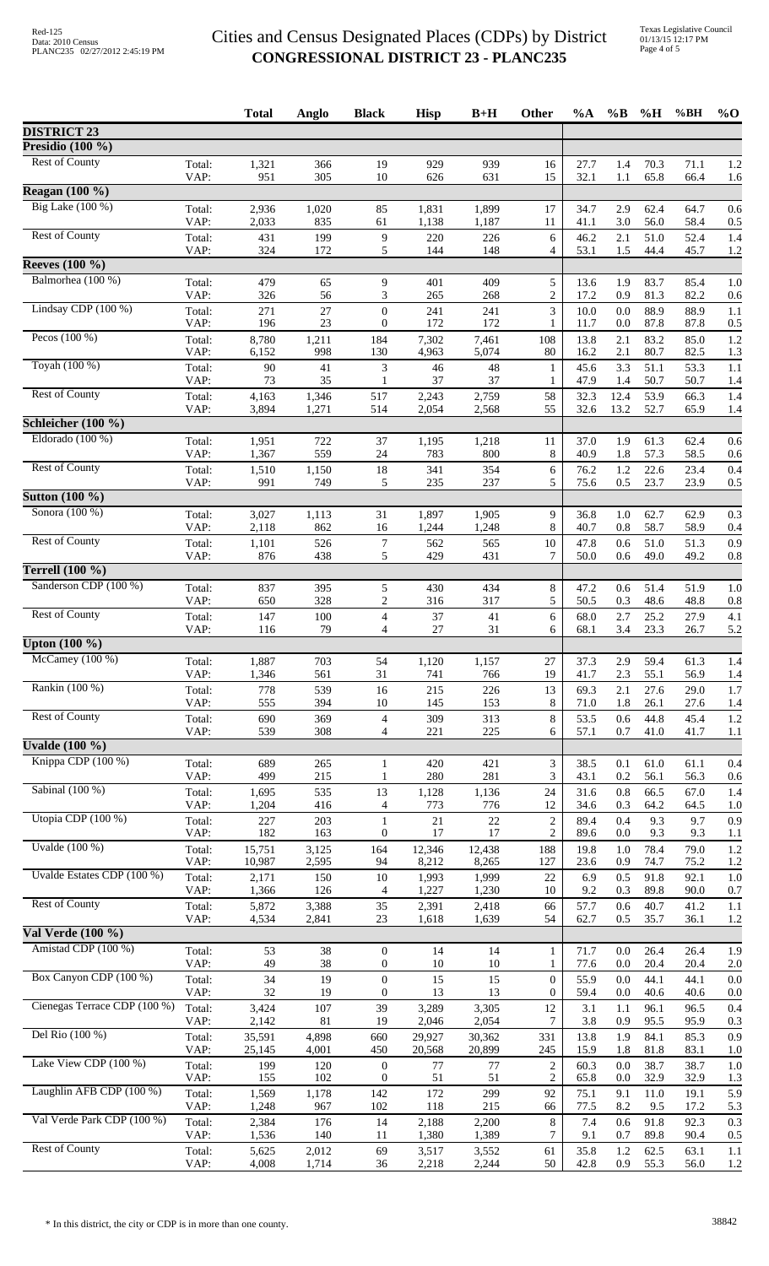|                              |                | <b>Total</b>     | Anglo          | <b>Black</b>                         | <b>Hisp</b>      | $B+H$            | Other                              | $\%A$        | $\%$ B       | %H           | %BH          | $\%$ O     |
|------------------------------|----------------|------------------|----------------|--------------------------------------|------------------|------------------|------------------------------------|--------------|--------------|--------------|--------------|------------|
| <b>DISTRICT 23</b>           |                |                  |                |                                      |                  |                  |                                    |              |              |              |              |            |
| Presidio $(100 \%)$          |                |                  |                |                                      |                  |                  |                                    |              |              |              |              |            |
| <b>Rest of County</b>        | Total:<br>VAP: | 1,321<br>951     | 366<br>305     | 19<br>10                             | 929<br>626       | 939<br>631       | 16<br>15                           | 27.7<br>32.1 | 1.4<br>1.1   | 70.3<br>65.8 | 71.1<br>66.4 | 1.2<br>1.6 |
| Reagan $(100\%$              |                |                  |                |                                      |                  |                  |                                    |              |              |              |              |            |
| Big Lake (100 %)             | Total:<br>VAP: | 2,936<br>2,033   | 1,020<br>835   | 85<br>61                             | 1,831<br>1,138   | 1,899<br>1,187   | 17<br>11                           | 34.7<br>41.1 | 2.9<br>3.0   | 62.4<br>56.0 | 64.7<br>58.4 | 0.6<br>0.5 |
| <b>Rest of County</b>        | Total:<br>VAP: | 431<br>324       | 199<br>172     | $\overline{9}$<br>5                  | 220<br>144       | 226<br>148       | 6<br>4                             | 46.2<br>53.1 | 2.1<br>1.5   | 51.0<br>44.4 | 52.4<br>45.7 | 1.4<br>1.2 |
| <b>Reeves</b> (100 %)        |                |                  |                |                                      |                  |                  |                                    |              |              |              |              |            |
| Balmorhea (100 %)            | Total:         | 479              | 65             | 9                                    | 401              | 409              | 5                                  | 13.6         | 1.9          | 83.7         | 85.4         | 1.0        |
|                              | VAP:           | 326              | 56             | 3                                    | 265              | 268              | 2                                  | 17.2         | 0.9          | 81.3         | 82.2         | 0.6        |
| Lindsay CDP $(100\%)$        | Total:<br>VAP: | 271<br>196       | 27<br>23       | $\boldsymbol{0}$<br>$\mathbf{0}$     | 241<br>172       | 241<br>172       | 3<br>1                             | 10.0<br>11.7 | 0.0<br>0.0   | 88.9<br>87.8 | 88.9<br>87.8 | 1.1<br>0.5 |
| Pecos $(100\%)$              | Total:<br>VAP: | 8,780<br>6,152   | 1,211<br>998   | 184<br>130                           | 7,302<br>4,963   | 7,461<br>5,074   | 108<br>80                          | 13.8<br>16.2 | 2.1<br>2.1   | 83.2<br>80.7 | 85.0<br>82.5 | 1.2<br>1.3 |
| Toyah (100 %)                | Total:         | 90               | 41             | 3                                    | 46               | 48               | 1                                  | 45.6         | 3.3          | 51.1         | 53.3         | 1.1        |
| <b>Rest of County</b>        | VAP:           | 73               | 35             |                                      | 37               | 37               |                                    | 47.9         | 1.4          | 50.7<br>53.9 | 50.7         | 1.4        |
|                              | Total:<br>VAP: | 4,163<br>3,894   | 1,346<br>1,271 | 517<br>514                           | 2,243<br>2,054   | 2,759<br>2,568   | 58<br>55                           | 32.3<br>32.6 | 12.4<br>13.2 | 52.7         | 66.3<br>65.9 | 1.4<br>1.4 |
| Schleicher $(100\%)$         |                |                  |                |                                      |                  |                  |                                    |              |              |              |              |            |
| Eldorado $(100\%)$           | Total:<br>VAP: | 1,951<br>1,367   | 722<br>559     | 37<br>24                             | 1,195<br>783     | 1,218<br>800     | 11<br>8                            | 37.0<br>40.9 | 1.9<br>1.8   | 61.3<br>57.3 | 62.4<br>58.5 | 0.6<br>0.6 |
| <b>Rest of County</b>        | Total:<br>VAP: | 1,510<br>991     | 1,150<br>749   | $18\,$<br>5                          | 341<br>235       | 354<br>237       | 6<br>5                             | 76.2<br>75.6 | 1.2<br>0.5   | 22.6<br>23.7 | 23.4<br>23.9 | 0.4<br>0.5 |
| <b>Sutton (100 %)</b>        |                |                  |                |                                      |                  |                  |                                    |              |              |              |              |            |
| Sonora (100 %)               | Total:         | 3,027            | 1,113          | 31                                   | 1,897            | 1,905            | 9                                  | 36.8         | 1.0          | 62.7         | 62.9         | 0.3        |
| <b>Rest of County</b>        | VAP:<br>Total: | 2,118<br>1,101   | 862<br>526     | 16<br>$\boldsymbol{7}$               | 1,244<br>562     | 1,248<br>565     | 8<br>$10\,$                        | 40.7<br>47.8 | 0.8<br>0.6   | 58.7<br>51.0 | 58.9<br>51.3 | 0.4<br>0.9 |
| Terrell $(100\%)$            | VAP:           | 876              | 438            | 5                                    | 429              | 431              | 7                                  | 50.0         | 0.6          | 49.0         | 49.2         | 0.8        |
| Sanderson CDP (100 %)        | Total:         | 837              | 395            | 5                                    | 430              | 434              | 8                                  | 47.2         | 0.6          | 51.4         | 51.9         | 1.0        |
|                              | VAP:           | 650              | 328            | $\overline{c}$                       | 316              | 317              | 5                                  | 50.5         | 0.3          | 48.6         | 48.8         | 0.8        |
| <b>Rest of County</b>        | Total:         | 147              | 100            | $\overline{\mathcal{A}}$             | 37               | 41               | 6                                  | 68.0         | 2.7          | 25.2         | 27.9         | 4.1        |
| Upton $(100\%$               | VAP:           | 116              | 79             | 4                                    | 27               | 31               | 6                                  | 68.1         | 3.4          | 23.3         | 26.7         | 5.2        |
| McCamey $(100\%)$            | Total:         | 1,887            | 703            | 54                                   | 1,120            | 1,157            | 27                                 | 37.3         | 2.9          | 59.4         | 61.3         | 1.4        |
|                              | VAP:           | 1,346            | 561            | 31                                   | 741              | 766              | 19                                 | 41.7         | 2.3          | 55.1         | 56.9         | 1.4        |
| Rankin (100 %)               | Total:<br>VAP: | 778<br>555       | 539<br>394     | 16<br>10                             | 215<br>145       | 226<br>153       | 13<br>8                            | 69.3<br>71.0 | 2.1<br>1.8   | 27.6<br>26.1 | 29.0<br>27.6 | 1.7<br>1.4 |
| <b>Rest of County</b>        | Total:<br>VAP: | 690<br>539       | 369<br>308     | $\overline{4}$<br>4                  | 309<br>221       | 313<br>225       | 8<br>6                             | 53.5<br>57.1 | 0.6<br>0.7   | 44.8<br>41.0 | 45.4<br>41.7 | 1.2<br>1.1 |
| Uvalde $(100\%)$             |                |                  |                |                                      |                  |                  |                                    |              |              |              |              |            |
| Knippa CDP (100 %)           | Total:         | 689              | 265            | $\mathbf{1}$                         | 420              | 421              | 3                                  | 38.5         | 0.1          | 61.0         | 61.1         | 0.4        |
| Sabinal (100 %)              | VAP:           | 499              | 215            | 1                                    | 280              | 281              | 3                                  | 43.1         | 0.2          | 56.1         | 56.3         | 0.6        |
|                              | Total:<br>VAP: | 1,695<br>1,204   | 535<br>416     | 13<br>4                              | 1,128<br>773     | 1,136<br>776     | 24<br>12                           | 31.6<br>34.6 | 0.8<br>0.3   | 66.5<br>64.2 | 67.0<br>64.5 | 1.4<br>1.0 |
| Utopia CDP (100 %)           | Total:<br>VAP: | 227<br>182       | 203<br>163     | 1<br>$\boldsymbol{0}$                | 21<br>17         | 22<br>17         | $\boldsymbol{2}$<br>$\overline{c}$ | 89.4<br>89.6 | 0.4<br>0.0   | 9.3<br>9.3   | 9.7<br>9.3   | 0.9<br>1.1 |
| Uvalde $(100\%)$             | Total:         | 15,751           | 3,125          | 164                                  | 12,346           | 12,438           | 188                                | 19.8         | 1.0          | 78.4         | 79.0         | 1.2        |
| Uvalde Estates CDP (100 %)   | VAP:<br>Total: | 10,987<br>2,171  | 2,595<br>150   | 94<br>10                             | 8,212<br>1,993   | 8,265<br>1,999   | 127<br>22                          | 23.6<br>6.9  | 0.9<br>0.5   | 74.7<br>91.8 | 75.2<br>92.1 | 1.2<br>1.0 |
| <b>Rest of County</b>        | VAP:           | 1,366            | 126<br>3,388   | $\overline{4}$<br>35                 | 1,227            | 1,230            | 10                                 | 9.2          | 0.3          | 89.8<br>40.7 | 90.0         | 0.7        |
|                              | Total:<br>VAP: | 5,872<br>4,534   | 2,841          | 23                                   | 2,391<br>1,618   | 2,418<br>1,639   | 66<br>54                           | 57.7<br>62.7 | 0.6<br>0.5   | 35.7         | 41.2<br>36.1 | 1.1<br>1.2 |
| Val Verde (100 %)            |                |                  |                |                                      |                  |                  |                                    |              |              |              |              |            |
| Amistad CDP (100 %)          | Total:<br>VAP: | 53<br>49         | 38<br>$38\,$   | $\boldsymbol{0}$<br>0                | 14<br>10         | 14<br>10         | 1<br>1                             | 71.7<br>77.6 | 0.0<br>0.0   | 26.4<br>20.4 | 26.4<br>20.4 | 1.9<br>2.0 |
| Box Canyon CDP (100 %)       | Total:         | 34               | 19             | $\boldsymbol{0}$                     | 15               | 15               | $\boldsymbol{0}$                   | 55.9         | 0.0          | 44.1         | 44.1         | 0.0        |
| Cienegas Terrace CDP (100 %) | VAP:<br>Total: | 32<br>3,424      | 19<br>107      | $\mathbf{0}$<br>39                   | 13<br>3,289      | 13<br>3,305      | $\overline{0}$<br>12               | 59.4<br>3.1  | 0.0<br>1.1   | 40.6<br>96.1 | 40.6<br>96.5 | 0.0<br>0.4 |
|                              | VAP:           | 2,142            | $81\,$         | 19                                   | 2,046            | 2,054            | 7                                  | 3.8          | 0.9          | 95.5         | 95.9         | 0.3        |
| Del Rio (100 %)              | Total:<br>VAP: | 35,591<br>25,145 | 4,898<br>4,001 | 660<br>450                           | 29,927<br>20,568 | 30,362<br>20,899 | 331<br>245                         | 13.8<br>15.9 | 1.9<br>1.8   | 84.1<br>81.8 | 85.3<br>83.1 | 0.9<br>1.0 |
| Lake View CDP (100 %)        | Total:<br>VAP: | 199<br>155       | 120<br>102     | $\boldsymbol{0}$<br>$\boldsymbol{0}$ | 77<br>51         | 77<br>51         | $\boldsymbol{2}$<br>$\overline{c}$ | 60.3<br>65.8 | 0.0<br>0.0   | 38.7<br>32.9 | 38.7<br>32.9 | 1.0<br>1.3 |
| Laughlin AFB CDP (100 %)     | Total:         | 1,569            | 1,178          | 142                                  | 172              | 299              | 92                                 | 75.1         | 9.1          | 11.0         | 19.1         | 5.9        |
| Val Verde Park CDP (100 %)   | VAP:<br>Total: | 1,248<br>2,384   | 967<br>176     | 102<br>14                            | 118<br>2,188     | 215<br>2,200     | 66<br>8                            | 77.5<br>7.4  | 8.2<br>0.6   | 9.5<br>91.8  | 17.2<br>92.3 | 5.3<br>0.3 |
| <b>Rest of County</b>        | VAP:           | 1,536            | 140            | 11                                   | 1,380            | 1,389            | 7                                  | 9.1          | 0.7          | 89.8         | 90.4         | 0.5        |
|                              | Total:<br>VAP: | 5,625<br>4,008   | 2,012<br>1,714 | 69<br>36                             | 3,517<br>2,218   | 3,552<br>2,244   | 61<br>50                           | 35.8<br>42.8 | 1.2<br>0.9   | 62.5<br>55.3 | 63.1<br>56.0 | 1.1<br>1.2 |